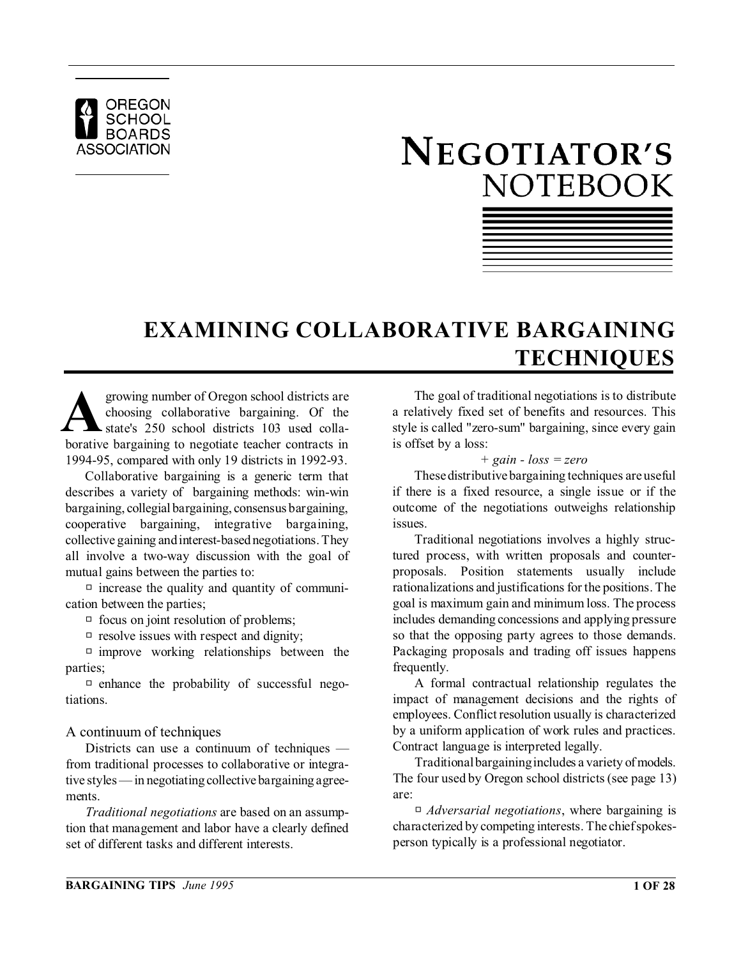

# NEGOTIATOR'S **NOTEBOOK**



## **EXAMINING COLLABORATIVE BARGAINING TECHNIQUES**

growing number of Oregon school districts are<br>choosing collaborative bargaining. Of the<br>borative bargaining to negotiate teacher contracts in growing number of Oregon school districts are choosing collaborative bargaining. Of the state's 250 school districts 103 used colla-1994-95, compared with only 19 districts in 1992-93.

Collaborative bargaining is a generic term that describes a variety of bargaining methods: win-win bargaining, collegial bargaining, consensus bargaining, cooperative bargaining, integrative bargaining, collective gaining and interest-based negotiations. They all involve a two-way discussion with the goal of mutual gains between the parties to:

 $\Box$  increase the quality and quantity of communication between the parties;

 $\Box$  focus on joint resolution of problems;

 $\Box$  resolve issues with respect and dignity;

 $\Box$  improve working relationships between the parties;

 $\Box$  enhance the probability of successful negotiations.

#### A continuum of techniques

Districts can use a continuum of techniques from traditional processes to collaborative or integrative styles — in negotiating collective bargaining agreements.

*Traditional negotiations* are based on an assumption that management and labor have a clearly defined set of different tasks and different interests.

The goal of traditional negotiations is to distribute a relatively fixed set of benefits and resources. This style is called "zero-sum" bargaining, since every gain is offset by a loss:

#### *+ gain - loss = zero*

These distributive bargaining techniques are useful if there is a fixed resource, a single issue or if the outcome of the negotiations outweighs relationship issues.

Traditional negotiations involves a highly structured process, with written proposals and counterproposals. Position statements usually include rationalizations and justifications for the positions. The goal is maximum gain and minimum loss. The process includes demanding concessions and applying pressure so that the opposing party agrees to those demands. Packaging proposals and trading off issues happens frequently.

A formal contractual relationship regulates the impact of management decisions and the rights of employees. Conflict resolution usually is characterized by a uniform application of work rules and practices. Contract language is interpreted legally.

Traditional bargaining includes a variety of models. The four used by Oregon school districts (see page 13) are:

R *Adversarial negotiations*, where bargaining is characterized by competing interests. The chief spokesperson typically is a professional negotiator.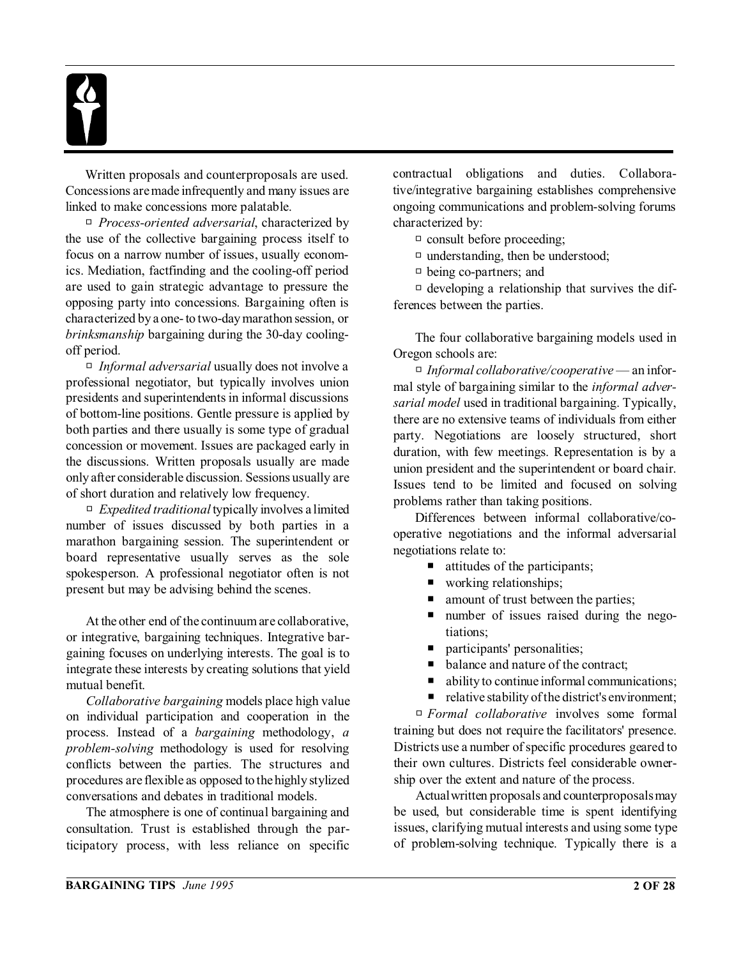Written proposals and counterproposals are used. Concessions are made infrequently and many issues are linked to make concessions more palatable.

□ *Process-oriented adversarial*, characterized by the use of the collective bargaining process itself to focus on a narrow number of issues, usually economics. Mediation, factfinding and the cooling-off period are used to gain strategic advantage to pressure the opposing party into concessions. Bargaining often is characterized by a one- to two-day marathon session, or *brinksmanship* bargaining during the 30-day coolingoff period.

□ *Informal adversarial* usually does not involve a professional negotiator, but typically involves union presidents and superintendents in informal discussions of bottom-line positions. Gentle pressure is applied by both parties and there usually is some type of gradual concession or movement. Issues are packaged early in the discussions. Written proposals usually are made only after considerable discussion. Sessions usually are of short duration and relatively low frequency.

 $\Box$  *Expedited traditional* typically involves a limited number of issues discussed by both parties in a marathon bargaining session. The superintendent or board representative usually serves as the sole spokesperson. A professional negotiator often is not present but may be advising behind the scenes.

At the other end of the continuum are collaborative, or integrative, bargaining techniques. Integrative bargaining focuses on underlying interests. The goal is to integrate these interests by creating solutions that yield mutual benefit.

*Collaborative bargaining* models place high value on individual participation and cooperation in the process. Instead of a *bargaining* methodology, *a problem-solving* methodology is used for resolving conflicts between the parties. The structures and procedures are flexible as opposed to the highly stylized conversations and debates in traditional models.

The atmosphere is one of continual bargaining and consultation. Trust is established through the participatory process, with less reliance on specific contractual obligations and duties. Collaborative/integrative bargaining establishes comprehensive ongoing communications and problem-solving forums characterized by:

 $\Box$  consult before proceeding;

 $\Box$  understanding, then be understood;

 $\Box$  being co-partners; and

 $\Box$  developing a relationship that survives the differences between the parties.

The four collaborative bargaining models used in Oregon schools are:

R *Informal collaborative/cooperative* — an informal style of bargaining similar to the *informal adversarial model* used in traditional bargaining. Typically, there are no extensive teams of individuals from either party. Negotiations are loosely structured, short duration, with few meetings. Representation is by a union president and the superintendent or board chair. Issues tend to be limited and focused on solving problems rather than taking positions.

Differences between informal collaborative/cooperative negotiations and the informal adversarial negotiations relate to:

- $\blacksquare$  attitudes of the participants;
- $\blacksquare$  working relationships;
- amount of trust between the parties;
- P number of issues raised during the negotiations;
- **P** participants' personalities;
- balance and nature of the contract;
- ability to continue informal communications;
- relative stability of the district's environment;

R *Formal collaborative* involves some formal training but does not require the facilitators' presence. Districts use a number of specific procedures geared to their own cultures. Districts feel considerable ownership over the extent and nature of the process.

Actualwritten proposals and counterproposalsmay be used, but considerable time is spent identifying issues, clarifying mutual interests and using some type of problem-solving technique. Typically there is a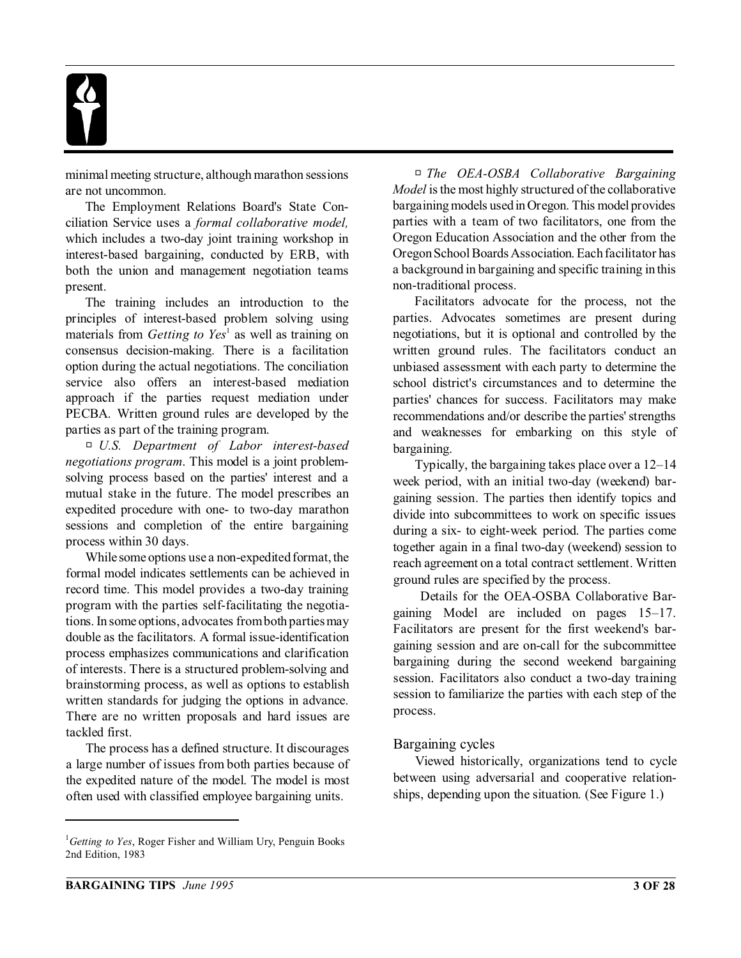minimal meeting structure, although marathon sessions are not uncommon.

The Employment Relations Board's State Conciliation Service uses a *formal collaborative model,* which includes a two-day joint training workshop in interest-based bargaining, conducted by ERB, with both the union and management negotiation teams present.

The training includes an introduction to the principles of interest-based problem solving using materials from *Getting to Yes*<sup>1</sup> as well as training on consensus decision-making. There is a facilitation option during the actual negotiations. The conciliation service also offers an interest-based mediation approach if the parties request mediation under PECBA. Written ground rules are developed by the parties as part of the training program.

R *U.S. Department of Labor interest-based negotiations program*. This model is a joint problemsolving process based on the parties' interest and a mutual stake in the future. The model prescribes an expedited procedure with one- to two-day marathon sessions and completion of the entire bargaining process within 30 days.

While some options use a non-expedited format, the formal model indicates settlements can be achieved in record time. This model provides a two-day training program with the parties self-facilitating the negotiations. In some options, advocates from both parties may double as the facilitators. A formal issue-identification process emphasizes communications and clarification of interests. There is a structured problem-solving and brainstorming process, as well as options to establish written standards for judging the options in advance. There are no written proposals and hard issues are tackled first.

The process has a defined structure. It discourages a large number of issues from both parties because of the expedited nature of the model. The model is most often used with classified employee bargaining units.

R *The OEA-OSBA Collaborative Bargaining Model* is the most highly structured of the collaborative bargaining models used in Oregon. This model provides parties with a team of two facilitators, one from the Oregon Education Association and the other from the Oregon School Boards Association. Each facilitator has a background in bargaining and specific training in this non-traditional process.

Facilitators advocate for the process, not the parties. Advocates sometimes are present during negotiations, but it is optional and controlled by the written ground rules. The facilitators conduct an unbiased assessment with each party to determine the school district's circumstances and to determine the parties' chances for success. Facilitators may make recommendations and/or describe the parties' strengths and weaknesses for embarking on this style of bargaining.

Typically, the bargaining takes place over a 12–14 week period, with an initial two-day (weekend) bargaining session. The parties then identify topics and divide into subcommittees to work on specific issues during a six- to eight-week period. The parties come together again in a final two-day (weekend) session to reach agreement on a total contract settlement. Written ground rules are specified by the process.

 Details for the OEA-OSBA Collaborative Bargaining Model are included on pages 15–17. Facilitators are present for the first weekend's bargaining session and are on-call for the subcommittee bargaining during the second weekend bargaining session. Facilitators also conduct a two-day training session to familiarize the parties with each step of the process.

#### Bargaining cycles

Viewed historically, organizations tend to cycle between using adversarial and cooperative relationships, depending upon the situation. (See Figure 1.)

<sup>1</sup>*Getting to Yes*, Roger Fisher and William Ury, Penguin Books 2nd Edition, 1983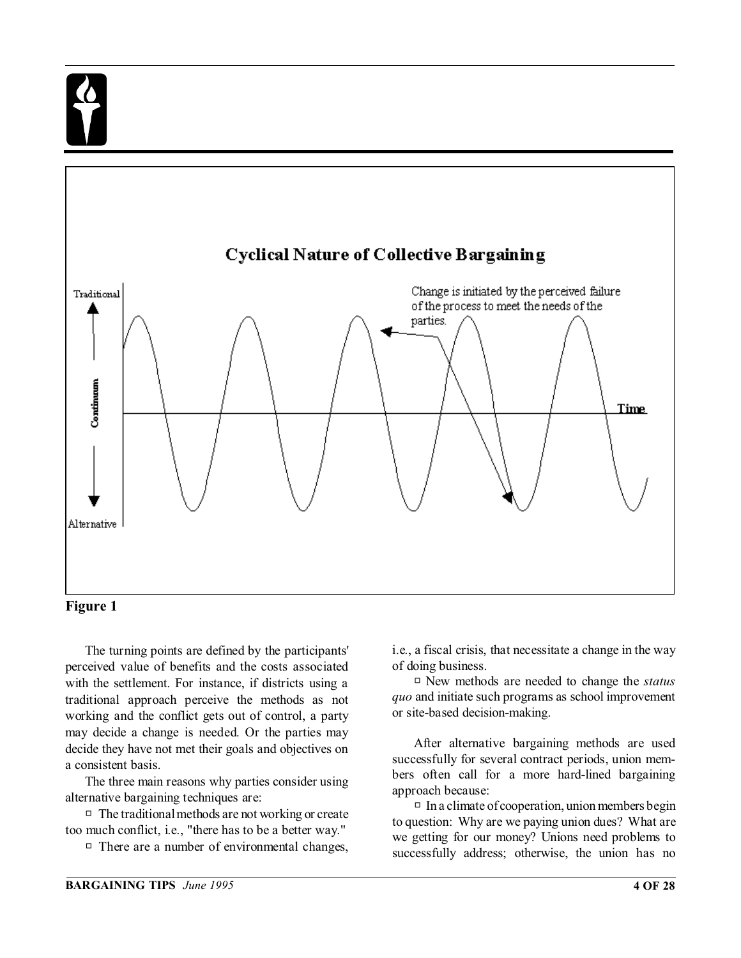

#### **Figure 1**

The turning points are defined by the participants' perceived value of benefits and the costs associated with the settlement. For instance, if districts using a traditional approach perceive the methods as not working and the conflict gets out of control, a party may decide a change is needed. Or the parties may decide they have not met their goals and objectives on a consistent basis.

The three main reasons why parties consider using alternative bargaining techniques are:

 $\Box$  The traditional methods are not working or create too much conflict, i.e., "there has to be a better way."

 $\Box$  There are a number of environmental changes,

i.e., a fiscal crisis, that necessitate a change in the way of doing business.

□ New methods are needed to change the *status quo* and initiate such programs as school improvement or site-based decision-making.

After alternative bargaining methods are used successfully for several contract periods, union members often call for a more hard-lined bargaining approach because:

 $\Box$  In a climate of cooperation, union members begin to question: Why are we paying union dues? What are we getting for our money? Unions need problems to successfully address; otherwise, the union has no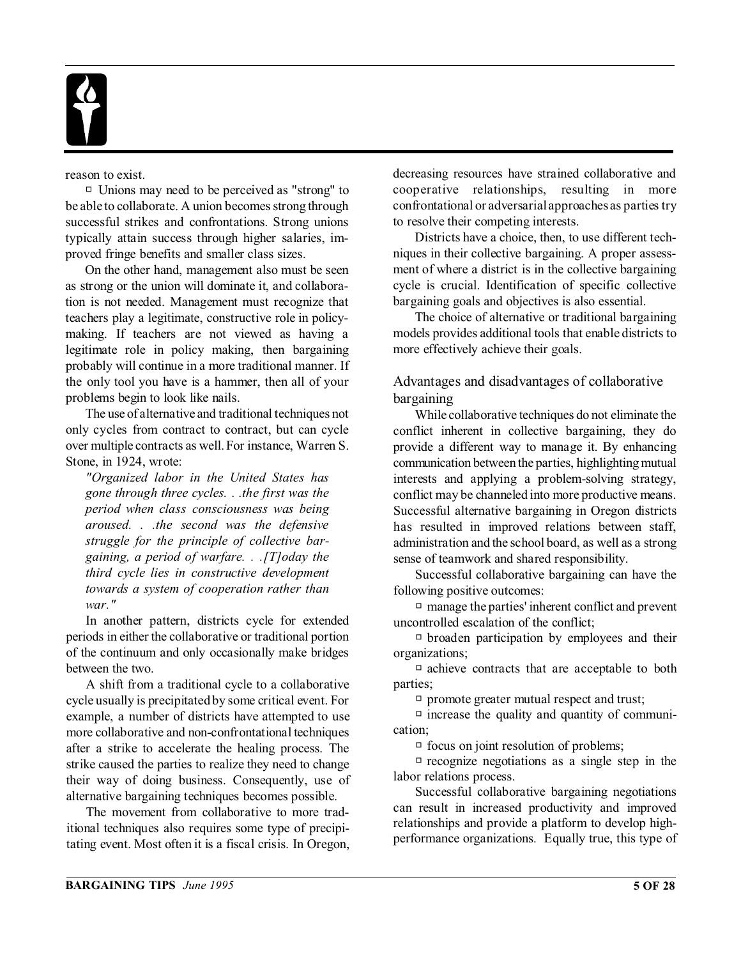

reason to exist.

 $\Box$  Unions may need to be perceived as "strong" to be able to collaborate. A union becomes strong through successful strikes and confrontations. Strong unions typically attain success through higher salaries, improved fringe benefits and smaller class sizes.

On the other hand, management also must be seen as strong or the union will dominate it, and collaboration is not needed. Management must recognize that teachers play a legitimate, constructive role in policymaking. If teachers are not viewed as having a legitimate role in policy making, then bargaining probably will continue in a more traditional manner. If the only tool you have is a hammer, then all of your problems begin to look like nails.

The use of alternative and traditional techniques not only cycles from contract to contract, but can cycle over multiple contracts as well. For instance, Warren S. Stone, in 1924, wrote:

*"Organized labor in the United States has gone through three cycles. . .the first was the period when class consciousness was being aroused. . .the second was the defensive struggle for the principle of collective bargaining, a period of warfare. . .[T]oday the third cycle lies in constructive development towards a system of cooperation rather than war."*

In another pattern, districts cycle for extended periods in either the collaborative or traditional portion of the continuum and only occasionally make bridges between the two.

A shift from a traditional cycle to a collaborative cycle usually is precipitated by some critical event. For example, a number of districts have attempted to use more collaborative and non-confrontational techniques after a strike to accelerate the healing process. The strike caused the parties to realize they need to change their way of doing business. Consequently, use of alternative bargaining techniques becomes possible.

The movement from collaborative to more traditional techniques also requires some type of precipitating event. Most often it is a fiscal crisis. In Oregon, decreasing resources have strained collaborative and cooperative relationships, resulting in more confrontational or adversarial approaches as parties try to resolve their competing interests.

Districts have a choice, then, to use different techniques in their collective bargaining. A proper assessment of where a district is in the collective bargaining cycle is crucial. Identification of specific collective bargaining goals and objectives is also essential.

The choice of alternative or traditional bargaining models provides additional tools that enable districts to more effectively achieve their goals.

#### Advantages and disadvantages of collaborative bargaining

While collaborative techniques do not eliminate the conflict inherent in collective bargaining, they do provide a different way to manage it. By enhancing communication between the parties, highlighting mutual interests and applying a problem-solving strategy, conflict may be channeled into more productive means. Successful alternative bargaining in Oregon districts has resulted in improved relations between staff, administration and the school board, as well as a strong sense of teamwork and shared responsibility.

Successful collaborative bargaining can have the following positive outcomes:

 $\Box$  manage the parties' inherent conflict and prevent uncontrolled escalation of the conflict;

 $\Box$  broaden participation by employees and their organizations;

 $\Box$  achieve contracts that are acceptable to both parties;

 $\Box$  promote greater mutual respect and trust;

 $\Box$  increase the quality and quantity of communication;

 $\Box$  focus on joint resolution of problems;

 $\Box$  recognize negotiations as a single step in the labor relations process.

Successful collaborative bargaining negotiations can result in increased productivity and improved relationships and provide a platform to develop highperformance organizations. Equally true, this type of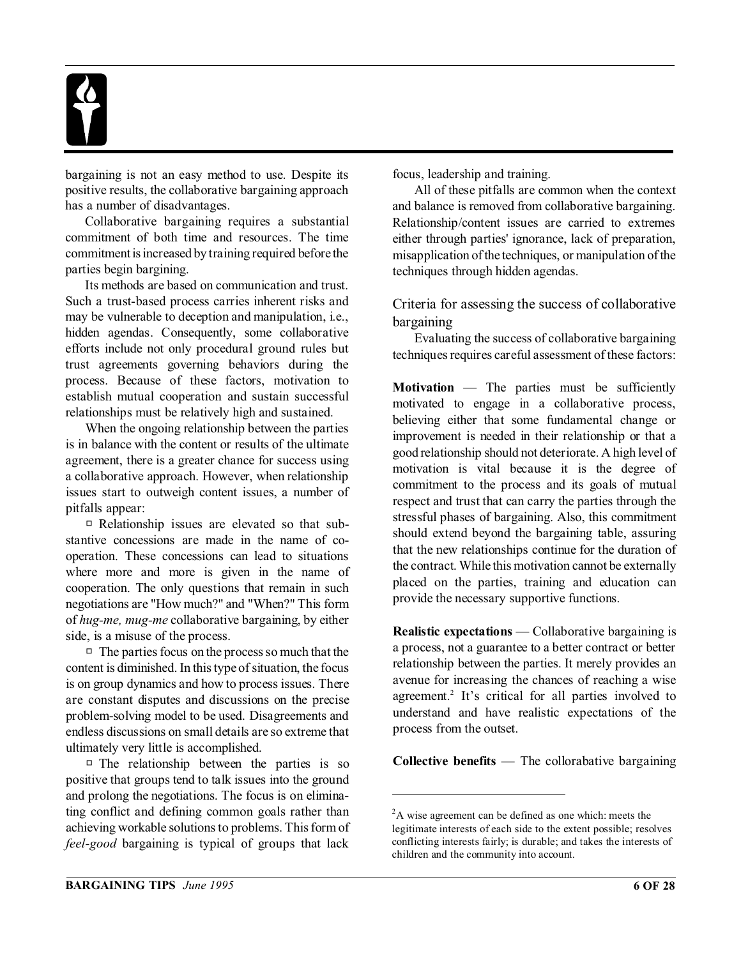

bargaining is not an easy method to use. Despite its positive results, the collaborative bargaining approach has a number of disadvantages.

Collaborative bargaining requires a substantial commitment of both time and resources. The time commitment is increased by training required before the parties begin bargining.

Its methods are based on communication and trust. Such a trust-based process carries inherent risks and may be vulnerable to deception and manipulation, i.e., hidden agendas. Consequently, some collaborative efforts include not only procedural ground rules but trust agreements governing behaviors during the process. Because of these factors, motivation to establish mutual cooperation and sustain successful relationships must be relatively high and sustained.

When the ongoing relationship between the parties is in balance with the content or results of the ultimate agreement, there is a greater chance for success using a collaborative approach. However, when relationship issues start to outweigh content issues, a number of pitfalls appear:

 $\Box$  Relationship issues are elevated so that substantive concessions are made in the name of cooperation. These concessions can lead to situations where more and more is given in the name of cooperation. The only questions that remain in such negotiations are "How much?" and "When?" This form of *hug-me, mug-me* collaborative bargaining, by either side, is a misuse of the process.

 $\Box$  The parties focus on the process so much that the content is diminished. In this type of situation, the focus is on group dynamics and how to process issues. There are constant disputes and discussions on the precise problem-solving model to be used. Disagreements and endless discussions on small details are so extreme that ultimately very little is accomplished.

 $\Box$  The relationship between the parties is so positive that groups tend to talk issues into the ground and prolong the negotiations. The focus is on eliminating conflict and defining common goals rather than achieving workable solutions to problems. This form of *feel-good* bargaining is typical of groups that lack

focus, leadership and training.

All of these pitfalls are common when the context and balance is removed from collaborative bargaining. Relationship/content issues are carried to extremes either through parties' ignorance, lack of preparation, misapplication of the techniques, or manipulation of the techniques through hidden agendas.

Criteria for assessing the success of collaborative bargaining

Evaluating the success of collaborative bargaining techniques requires careful assessment of these factors:

**Motivation** — The parties must be sufficiently motivated to engage in a collaborative process, believing either that some fundamental change or improvement is needed in their relationship or that a good relationship should not deteriorate. A high level of motivation is vital because it is the degree of commitment to the process and its goals of mutual respect and trust that can carry the parties through the stressful phases of bargaining. Also, this commitment should extend beyond the bargaining table, assuring that the new relationships continue for the duration of the contract. While this motivation cannot be externally placed on the parties, training and education can provide the necessary supportive functions.

**Realistic expectations** — Collaborative bargaining is a process, not a guarantee to a better contract or better relationship between the parties. It merely provides an avenue for increasing the chances of reaching a wise agreement.<sup>2</sup> It's critical for all parties involved to understand and have realistic expectations of the process from the outset.

**Collective benefits** — The collorabative bargaining

 ${}^{2}$ A wise agreement can be defined as one which: meets the legitimate interests of each side to the extent possible; resolves conflicting interests fairly; is durable; and takes the interests of children and the community into account.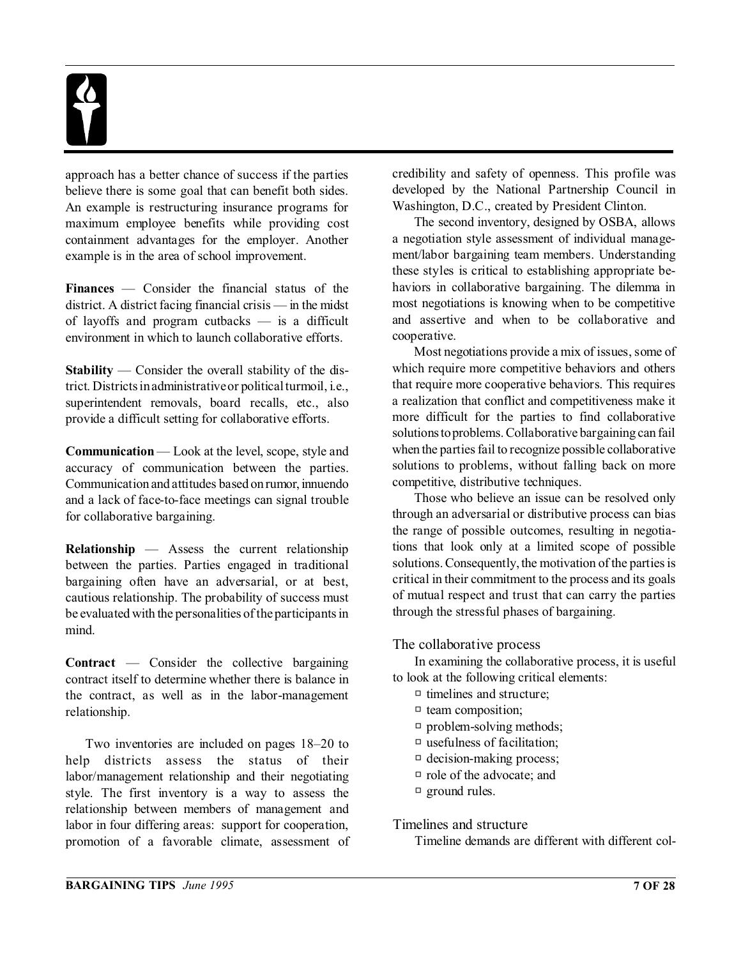

approach has a better chance of success if the parties believe there is some goal that can benefit both sides. An example is restructuring insurance programs for maximum employee benefits while providing cost containment advantages for the employer. Another example is in the area of school improvement.

**Finances** — Consider the financial status of the district. A district facing financial crisis — in the midst of layoffs and program cutbacks — is a difficult environment in which to launch collaborative efforts.

**Stability** — Consider the overall stability of the district. Districts in administrative or political turmoil, i.e., superintendent removals, board recalls, etc., also provide a difficult setting for collaborative efforts.

**Communication** — Look at the level, scope, style and accuracy of communication between the parties. Communication and attitudes based on rumor, innuendo and a lack of face-to-face meetings can signal trouble for collaborative bargaining.

**Relationship** — Assess the current relationship between the parties. Parties engaged in traditional bargaining often have an adversarial, or at best, cautious relationship. The probability of success must be evaluated with the personalities of the participants in mind.

**Contract** — Consider the collective bargaining contract itself to determine whether there is balance in the contract, as well as in the labor-management relationship.

Two inventories are included on pages 18–20 to help districts assess the status of their labor/management relationship and their negotiating style. The first inventory is a way to assess the relationship between members of management and labor in four differing areas: support for cooperation, promotion of a favorable climate, assessment of credibility and safety of openness. This profile was developed by the National Partnership Council in Washington, D.C., created by President Clinton.

The second inventory, designed by OSBA, allows a negotiation style assessment of individual management/labor bargaining team members. Understanding these styles is critical to establishing appropriate behaviors in collaborative bargaining. The dilemma in most negotiations is knowing when to be competitive and assertive and when to be collaborative and cooperative.

Most negotiations provide a mix of issues, some of which require more competitive behaviors and others that require more cooperative behaviors. This requires a realization that conflict and competitiveness make it more difficult for the parties to find collaborative solutions to problems. Collaborative bargaining can fail when the parties fail to recognize possible collaborative solutions to problems, without falling back on more competitive, distributive techniques.

Those who believe an issue can be resolved only through an adversarial or distributive process can bias the range of possible outcomes, resulting in negotiations that look only at a limited scope of possible solutions. Consequently, the motivation of the parties is critical in their commitment to the process and its goals of mutual respect and trust that can carry the parties through the stressful phases of bargaining.

The collaborative process

In examining the collaborative process, it is useful to look at the following critical elements:

- $\Box$  timelines and structure;
- $\Box$  team composition;
- $\Box$  problem-solving methods;
- $\Box$  usefulness of facilitation;
- $\Box$  decision-making process;
- $\Box$  role of the advocate; and
- $\Box$  ground rules.

#### Timelines and structure

Timeline demands are different with different col-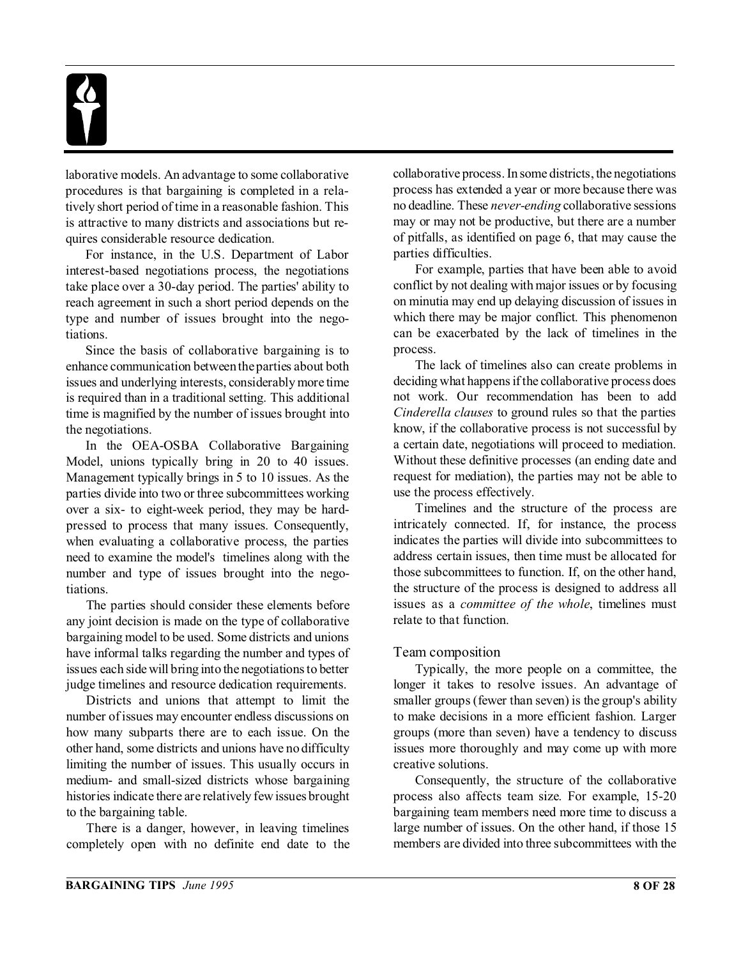

laborative models. An advantage to some collaborative procedures is that bargaining is completed in a relatively short period of time in a reasonable fashion. This is attractive to many districts and associations but requires considerable resource dedication.

For instance, in the U.S. Department of Labor interest-based negotiations process, the negotiations take place over a 30-day period. The parties' ability to reach agreement in such a short period depends on the type and number of issues brought into the negotiations.

Since the basis of collaborative bargaining is to enhance communication between the parties about both issues and underlying interests, considerably more time is required than in a traditional setting. This additional time is magnified by the number of issues brought into the negotiations.

In the OEA-OSBA Collaborative Bargaining Model, unions typically bring in 20 to 40 issues. Management typically brings in 5 to 10 issues. As the parties divide into two or three subcommittees working over a six- to eight-week period, they may be hardpressed to process that many issues. Consequently, when evaluating a collaborative process, the parties need to examine the model's timelines along with the number and type of issues brought into the negotiations.

The parties should consider these elements before any joint decision is made on the type of collaborative bargaining model to be used. Some districts and unions have informal talks regarding the number and types of issues each side will bring into the negotiations to better judge timelines and resource dedication requirements.

Districts and unions that attempt to limit the number of issues may encounter endless discussions on how many subparts there are to each issue. On the other hand, some districts and unions have no difficulty limiting the number of issues. This usually occurs in medium- and small-sized districts whose bargaining histories indicate there are relatively few issues brought to the bargaining table.

There is a danger, however, in leaving timelines completely open with no definite end date to the collaborative process. In some districts, the negotiations process has extended a year or more because there was no deadline. These *never-ending* collaborative sessions may or may not be productive, but there are a number of pitfalls, as identified on page 6, that may cause the parties difficulties.

For example, parties that have been able to avoid conflict by not dealing with major issues or by focusing on minutia may end up delaying discussion of issues in which there may be major conflict. This phenomenon can be exacerbated by the lack of timelines in the process.

The lack of timelines also can create problems in deciding what happens if the collaborative process does not work. Our recommendation has been to add *Cinderella clauses* to ground rules so that the parties know, if the collaborative process is not successful by a certain date, negotiations will proceed to mediation. Without these definitive processes (an ending date and request for mediation), the parties may not be able to use the process effectively.

Timelines and the structure of the process are intricately connected. If, for instance, the process indicates the parties will divide into subcommittees to address certain issues, then time must be allocated for those subcommittees to function. If, on the other hand, the structure of the process is designed to address all issues as a *committee of the whole*, timelines must relate to that function.

#### Team composition

Typically, the more people on a committee, the longer it takes to resolve issues. An advantage of smaller groups (fewer than seven) is the group's ability to make decisions in a more efficient fashion. Larger groups (more than seven) have a tendency to discuss issues more thoroughly and may come up with more creative solutions.

Consequently, the structure of the collaborative process also affects team size. For example, 15-20 bargaining team members need more time to discuss a large number of issues. On the other hand, if those 15 members are divided into three subcommittees with the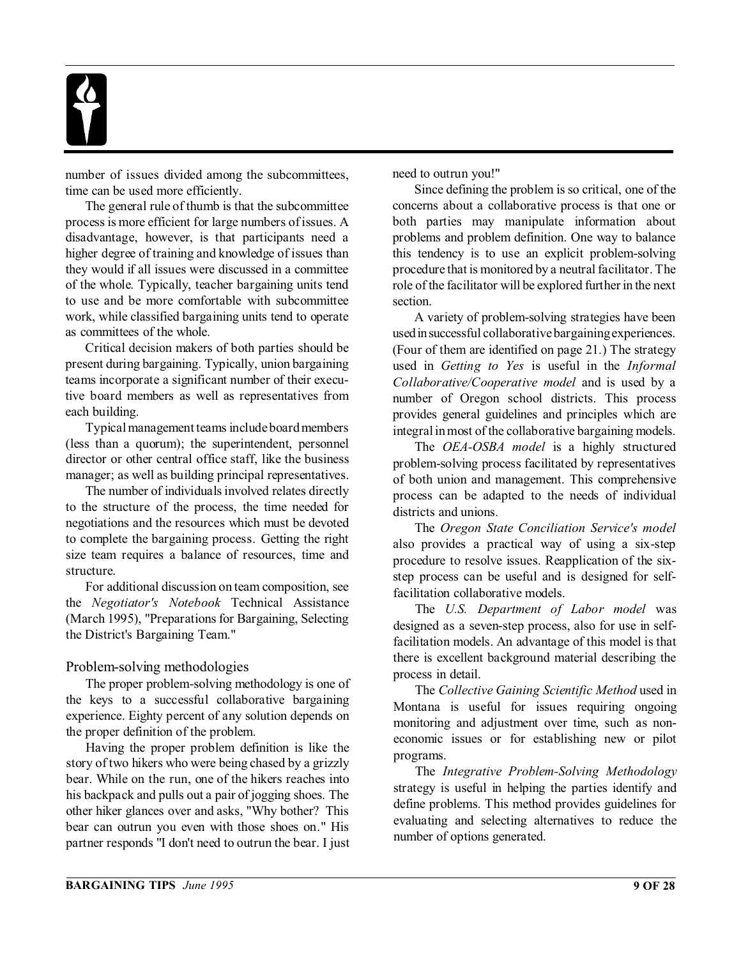

number of issues divided among the subcommittees, time can be used more efficiently.

The general rule of thumb is that the subcommittee process is more efficient for large numbers of issues. A disadvantage, however, is that participants need a higher degree of training and knowledge of issues than they would if all issues were discussed in a committee of the whole. Typically, teacher bargaining units tend to use and be more comfortable with subcommittee work, while classified bargaining units tend to operate as committees of the whole.

Critical decision makers of both parties should be present during bargaining. Typically, union bargaining teams incorporate a significant number of their executive board members as well as representatives from each building.

Typical management teams include board members (less than a quorum); the superintendent, personnel director or other central office staff, like the business manager; as well as building principal representatives.

The number of individuals involved relates directly to the structure of the process, the time needed for negotiations and the resources which must be devoted to complete the bargaining process. Getting the right size team requires a balance of resources, time and structure.

For additional discussion on team composition, see the *Negotiator's Notebook* Technical Assistance (March 1995), "Preparations for Bargaining, Selecting the District's Bargaining Team."

#### Problem-solving methodologies

The proper problem-solving methodology is one of the keys to a successful collaborative bargaining experience. Eighty percent of any solution depends on the proper definition of the problem.

Having the proper problem definition is like the story of two hikers who were being chased by a grizzly bear. While on the run, one of the hikers reaches into his backpack and pulls out a pair of jogging shoes. The other hiker glances over and asks, "Why bother? This bear can outrun you even with those shoes on." His partner responds "I don't need to outrun the bear. I just need to outrun you!"

Since defining the problem is so critical, one of the concerns about a collaborative process is that one or both parties may manipulate information about problems and problem definition. One way to balance this tendency is to use an explicit problem-solving procedure that is monitored by a neutral facilitator. The role of the facilitator will be explored further in the next section.

A variety of problem-solving strategies have been used in successful collaborative bargaining experiences. (Four of them are identified on page 21.) The strategy used in *Getting to Yes* is useful in the *Informal Collaborative/Cooperative model* and is used by a number of Oregon school districts. This process provides general guidelines and principles which are integral in most of the collaborative bargaining models.

The *OEA-OSBA model* is a highly structured problem-solving process facilitated by representatives of both union and management. This comprehensive process can be adapted to the needs of individual districts and unions.

The *Oregon State Conciliation Service's model* also provides a practical way of using a six-step procedure to resolve issues. Reapplication of the sixstep process can be useful and is designed for selffacilitation collaborative models.

The *U.S. Department of Labor model* was designed as a seven-step process, also for use in selffacilitation models. An advantage of this model is that there is excellent background material describing the process in detail.

The *Collective Gaining Scientific Method* used in Montana is useful for issues requiring ongoing monitoring and adjustment over time, such as noneconomic issues or for establishing new or pilot programs.

The *Integrative Problem-Solving Methodology* strategy is useful in helping the parties identify and define problems. This method provides guidelines for evaluating and selecting alternatives to reduce the number of options generated.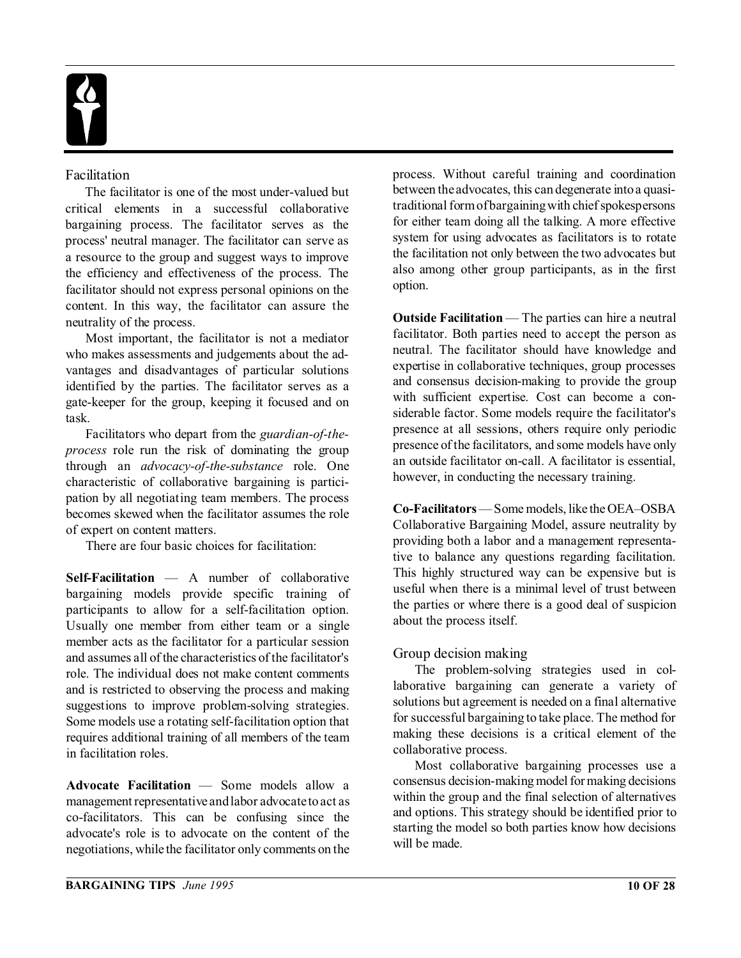

#### Facilitation

The facilitator is one of the most under-valued but critical elements in a successful collaborative bargaining process. The facilitator serves as the process' neutral manager. The facilitator can serve as a resource to the group and suggest ways to improve the efficiency and effectiveness of the process. The facilitator should not express personal opinions on the content. In this way, the facilitator can assure the neutrality of the process.

Most important, the facilitator is not a mediator who makes assessments and judgements about the advantages and disadvantages of particular solutions identified by the parties. The facilitator serves as a gate-keeper for the group, keeping it focused and on task.

Facilitators who depart from the *guardian-of-theprocess* role run the risk of dominating the group through an *advocacy-of-the-substance* role. One characteristic of collaborative bargaining is participation by all negotiating team members. The process becomes skewed when the facilitator assumes the role of expert on content matters.

There are four basic choices for facilitation:

**Self-Facilitation** — A number of collaborative bargaining models provide specific training of participants to allow for a self-facilitation option. Usually one member from either team or a single member acts as the facilitator for a particular session and assumes all of the characteristics of the facilitator's role. The individual does not make content comments and is restricted to observing the process and making suggestions to improve problem-solving strategies. Some models use a rotating self-facilitation option that requires additional training of all members of the team in facilitation roles.

**Advocate Facilitation** — Some models allow a management representative and labor advocate to act as co-facilitators. This can be confusing since the advocate's role is to advocate on the content of the negotiations, while the facilitator only comments on the

process. Without careful training and coordination between the advocates, this can degenerate into a quasitraditional form of bargaining with chief spokespersons for either team doing all the talking. A more effective system for using advocates as facilitators is to rotate the facilitation not only between the two advocates but also among other group participants, as in the first option.

**Outside Facilitation** — The parties can hire a neutral facilitator. Both parties need to accept the person as neutral. The facilitator should have knowledge and expertise in collaborative techniques, group processes and consensus decision-making to provide the group with sufficient expertise. Cost can become a considerable factor. Some models require the facilitator's presence at all sessions, others require only periodic presence of the facilitators, and some models have only an outside facilitator on-call. A facilitator is essential, however, in conducting the necessary training.

**Co-Facilitators** — Some models, like the OEA–OSBA Collaborative Bargaining Model, assure neutrality by providing both a labor and a management representative to balance any questions regarding facilitation. This highly structured way can be expensive but is useful when there is a minimal level of trust between the parties or where there is a good deal of suspicion about the process itself.

#### Group decision making

The problem-solving strategies used in collaborative bargaining can generate a variety of solutions but agreement is needed on a final alternative for successful bargaining to take place. The method for making these decisions is a critical element of the collaborative process.

Most collaborative bargaining processes use a consensus decision-making model for making decisions within the group and the final selection of alternatives and options. This strategy should be identified prior to starting the model so both parties know how decisions will be made.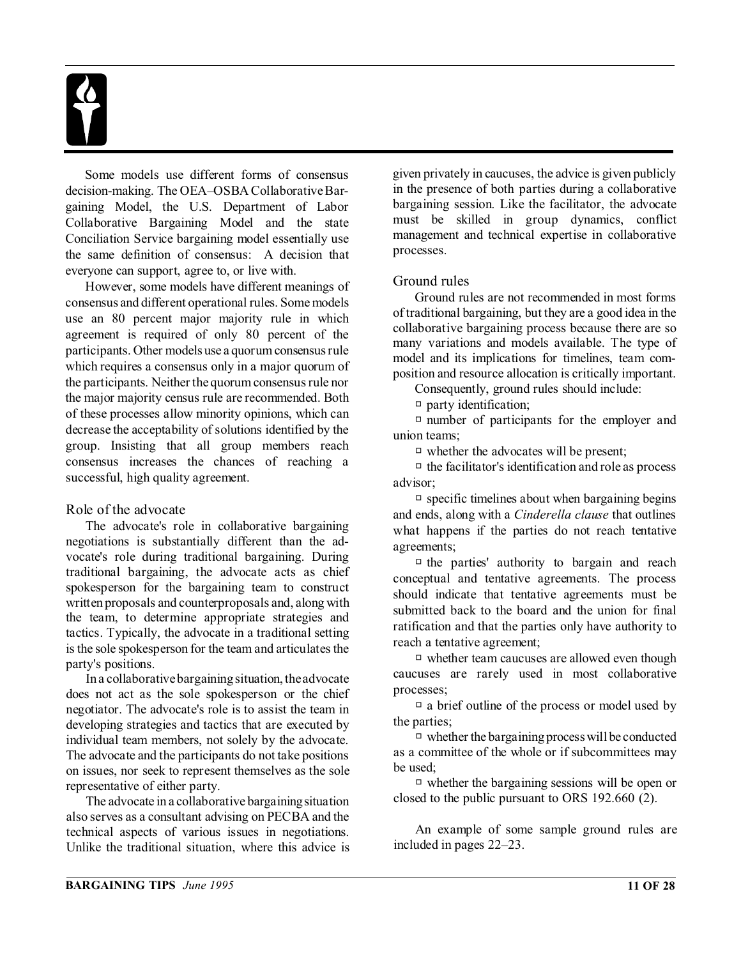Some models use different forms of consensus decision-making. The OEA–OSBA Collaborative Bargaining Model, the U.S. Department of Labor Collaborative Bargaining Model and the state Conciliation Service bargaining model essentially use the same definition of consensus: A decision that everyone can support, agree to, or live with.

However, some models have different meanings of consensus and different operational rules. Some models use an 80 percent major majority rule in which agreement is required of only 80 percent of the participants. Other models use a quorum consensus rule which requires a consensus only in a major quorum of the participants. Neither the quorum consensus rule nor the major majority census rule are recommended. Both of these processes allow minority opinions, which can decrease the acceptability of solutions identified by the group. Insisting that all group members reach consensus increases the chances of reaching a successful, high quality agreement.

#### Role of the advocate

The advocate's role in collaborative bargaining negotiations is substantially different than the advocate's role during traditional bargaining. During traditional bargaining, the advocate acts as chief spokesperson for the bargaining team to construct written proposals and counterproposals and, along with the team, to determine appropriate strategies and tactics. Typically, the advocate in a traditional setting is the sole spokesperson for the team and articulates the party's positions.

In a collaborative bargaining situation, the advocate does not act as the sole spokesperson or the chief negotiator. The advocate's role is to assist the team in developing strategies and tactics that are executed by individual team members, not solely by the advocate. The advocate and the participants do not take positions on issues, nor seek to represent themselves as the sole representative of either party.

The advocate in a collaborative bargaining situation also serves as a consultant advising on PECBA and the technical aspects of various issues in negotiations. Unlike the traditional situation, where this advice is

given privately in caucuses, the advice is given publicly in the presence of both parties during a collaborative bargaining session. Like the facilitator, the advocate must be skilled in group dynamics, conflict management and technical expertise in collaborative processes.

#### Ground rules

Ground rules are not recommended in most forms of traditional bargaining, but they are a good idea in the collaborative bargaining process because there are so many variations and models available. The type of model and its implications for timelines, team composition and resource allocation is critically important.

Consequently, ground rules should include:

 $\Box$  party identification;

 $\Box$  number of participants for the employer and union teams;

 $\Box$  whether the advocates will be present;

 $\Box$  the facilitator's identification and role as process advisor;

 $\Box$  specific timelines about when bargaining begins and ends, along with a *Cinderella clause* that outlines what happens if the parties do not reach tentative agreements;

 $\Box$  the parties' authority to bargain and reach conceptual and tentative agreements. The process should indicate that tentative agreements must be submitted back to the board and the union for final ratification and that the parties only have authority to reach a tentative agreement;

 $\Box$  whether team caucuses are allowed even though caucuses are rarely used in most collaborative processes;

 $\Box$  a brief outline of the process or model used by the parties;

 $\Box$  whether the bargaining process will be conducted as a committee of the whole or if subcommittees may be used;

 $\Box$  whether the bargaining sessions will be open or closed to the public pursuant to ORS 192.660 (2).

An example of some sample ground rules are included in pages 22–23.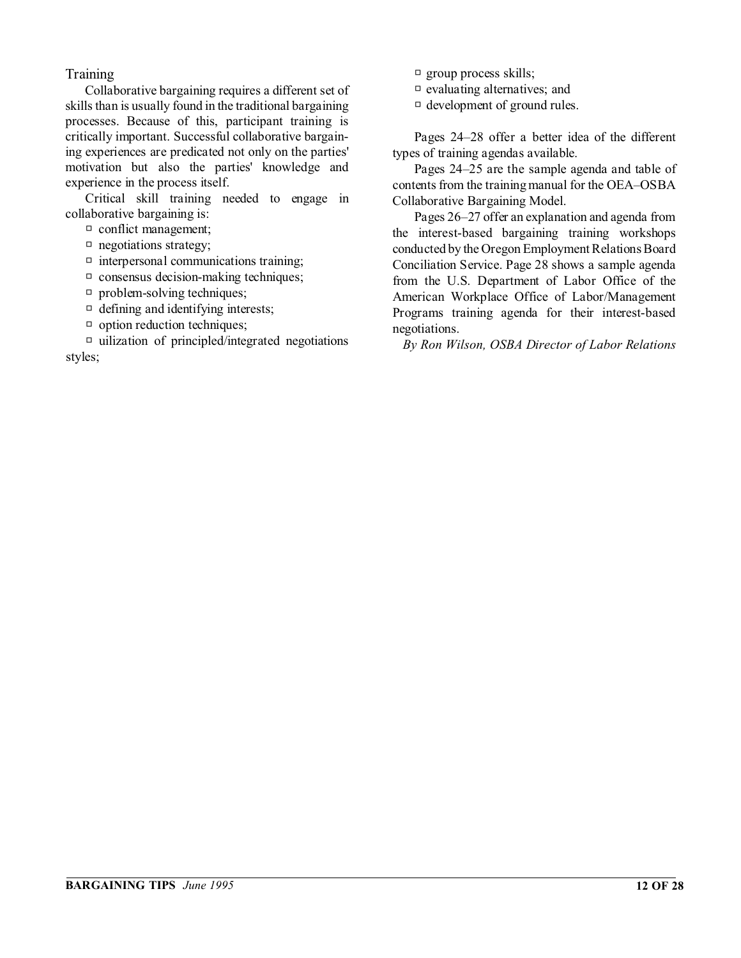#### **Training**

Collaborative bargaining requires a different set of skills than is usually found in the traditional bargaining processes. Because of this, participant training is critically important. Successful collaborative bargaining experiences are predicated not only on the parties' motivation but also the parties' knowledge and experience in the process itself.

Critical skill training needed to engage in collaborative bargaining is:

 $\Box$  conflict management;

- $\Box$  negotiations strategy;
- $\Box$  interpersonal communications training;
- $\Box$  consensus decision-making techniques;
- $\Box$  problem-solving techniques;
- $\Box$  defining and identifying interests;
- $\Box$  option reduction techniques;

 $\Box$  uilization of principled/integrated negotiations styles;

- $\Box$  group process skills;
- $\Box$  evaluating alternatives; and
- $\Box$  development of ground rules.

Pages 24–28 offer a better idea of the different types of training agendas available.

Pages 24–25 are the sample agenda and table of contents from the training manual for the OEA–OSBA Collaborative Bargaining Model.

Pages 26–27 offer an explanation and agenda from the interest-based bargaining training workshops conducted by the Oregon Employment Relations Board Conciliation Service. Page 28 shows a sample agenda from the U.S. Department of Labor Office of the American Workplace Office of Labor/Management Programs training agenda for their interest-based negotiations.

*By Ron Wilson, OSBA Director of Labor Relations*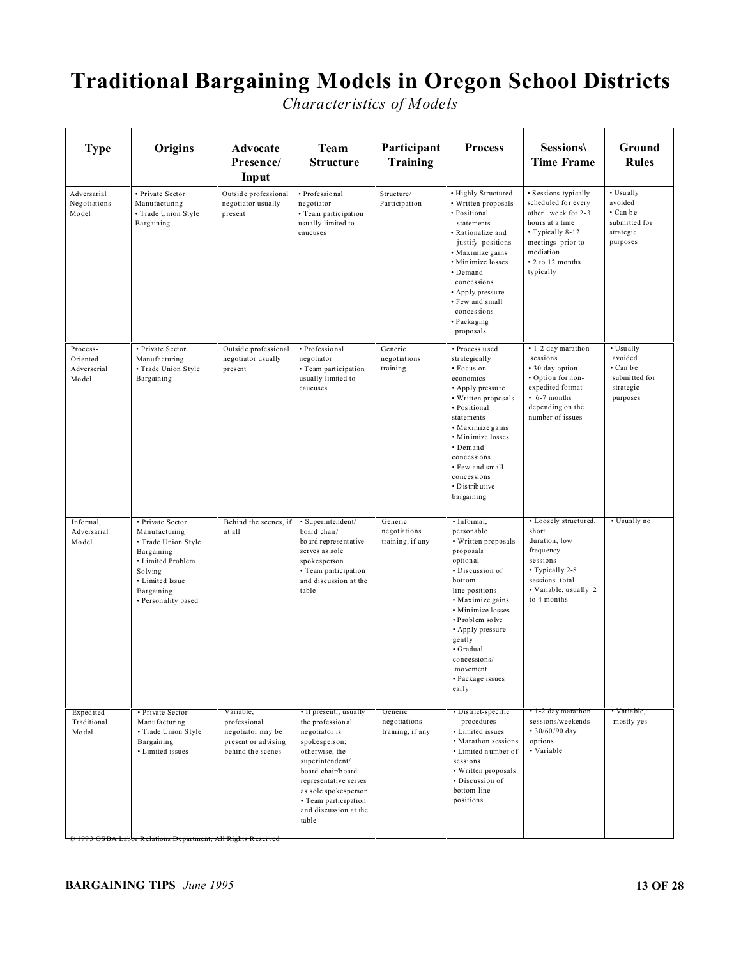## **Traditional Bargaining Models in Oregon School Districts**

*Characteristics of Models*

| <b>Type</b>                                  | Origins                                                                                                                                                        | Advocate<br>Presence/<br>Input                                                             | Team<br><b>Structure</b>                                                                                                                                                                                                                          | Participant<br><b>Training</b>              | <b>Process</b>                                                                                                                                                                                                                                                                           | Sessions\<br><b>Time Frame</b>                                                                                                                                              | Ground<br><b>Rules</b>                                                     |
|----------------------------------------------|----------------------------------------------------------------------------------------------------------------------------------------------------------------|--------------------------------------------------------------------------------------------|---------------------------------------------------------------------------------------------------------------------------------------------------------------------------------------------------------------------------------------------------|---------------------------------------------|------------------------------------------------------------------------------------------------------------------------------------------------------------------------------------------------------------------------------------------------------------------------------------------|-----------------------------------------------------------------------------------------------------------------------------------------------------------------------------|----------------------------------------------------------------------------|
| Adversarial<br>Negotiations<br>Model         | • Private Sector<br>Manufacturing<br>• Trade Union Style<br>Bargaining                                                                                         | Outside professional<br>negotiator usually<br>present                                      | · Professional<br>negotiator<br>· Team participation<br>usually limited to<br>caucuses                                                                                                                                                            | Structure/<br>Participation                 | • Highly Structured<br>• Written proposals<br>· Positional<br>statements<br>• Rationalize and<br>justify positions<br>· Maximize gains<br>· Minimize losses<br>· Demand<br>concessions<br>• Apply pressure<br>• Few and small<br>concessions<br>· Packaging<br>proposals                 | · Sessions typically<br>scheduled for every<br>other week for 2-3<br>hours at a time<br>• Typically 8-12<br>meetings prior to<br>mediation<br>• 2 to 12 months<br>typically | • Usually<br>avoided<br>• Can be<br>submitted for<br>strategic<br>purposes |
| Process-<br>Oriented<br>Adverserial<br>Model | • Private Sector<br>Manufacturing<br>· Trade Union Style<br>Bargaining                                                                                         | Outside professional<br>negotiator usually<br>present                                      | • Professional<br>negotiator<br>• Team participation<br>usually limited to<br>caucuses                                                                                                                                                            | Generic<br>negotiations<br>training         | • Process used<br>strategically<br>• Focus on<br>economics<br>• Apply pressure<br>• Written proposals<br>· Positional<br>statements<br>• Maximize gains<br>• Minimize losses<br>· Demand<br>concessions<br>• Few and small<br>concessions<br>• D is tribut ive<br>bargaining             | • 1-2 day marathon<br>sessions<br>• 30 day option<br>· Option for non-<br>expedited format<br>$\cdot$ 6-7 months<br>depending on the<br>number of issues                    | • Usually<br>avoided<br>• Can be<br>submitted for<br>strategic<br>purposes |
| Informal.<br>Adversarial<br>Model            | • Private Sector<br>Manufacturing<br>• Trade Union Style<br>Bargaining<br>• Limited Problem<br>Solving<br>• Limited Issue<br>Bargaining<br>• Personality based | Behind the scenes, if<br>at all                                                            | · Superintendent/<br>board chair/<br>bo ard representative<br>serves as sole<br>spokesperson<br>• Team participation<br>and discussion at the<br>table                                                                                            | Generic<br>negotiations<br>training, if any | · Informal,<br>personable<br>• Written proposals<br>proposals<br>optional<br>· Discussion of<br>bottom<br>line positions<br>• Maximize gains<br>• Minimize losses<br>• Problem solve<br>• Apply pressure<br>gently<br>· Gradual<br>concessions/<br>movement<br>• Package issues<br>early | • Loosely structured,<br>short<br>duration, low<br>frequency<br>sessions<br>• Typically 2-8<br>sessions total<br>· Variable, usually 2<br>to 4 months                       | • Usually no                                                               |
| Expedited<br>Traditional<br>Model            | • Private Sector<br>Manufacturing<br>• Trade Union Style<br>Bargaining<br>• Limited issues<br>1993 OSBA Labor Relations Department, All Rights Reserved        | Variable.<br>professional<br>negotiator may be<br>present or advising<br>behind the scenes | • If present,, usually<br>the professional<br>negotiator is<br>spokesperson;<br>otherwise, the<br>superintendent/<br>board chair/board<br>representative serves<br>as sole spokesperson<br>• Team participation<br>and discussion at the<br>table | Generic<br>negotiations<br>training, if any | • District-specific<br>procedures<br>• Limited issues<br>• Marathon sessions<br>• Limited number of<br>sessions<br>• Written proposals<br>· Discussion of<br>bottom-line<br>positions                                                                                                    | • 1-2 day marathon<br>sessions/weekends<br>$\cdot$ 30/60/90 day<br>options<br>• Variable                                                                                    | • Variable,<br>mostly yes                                                  |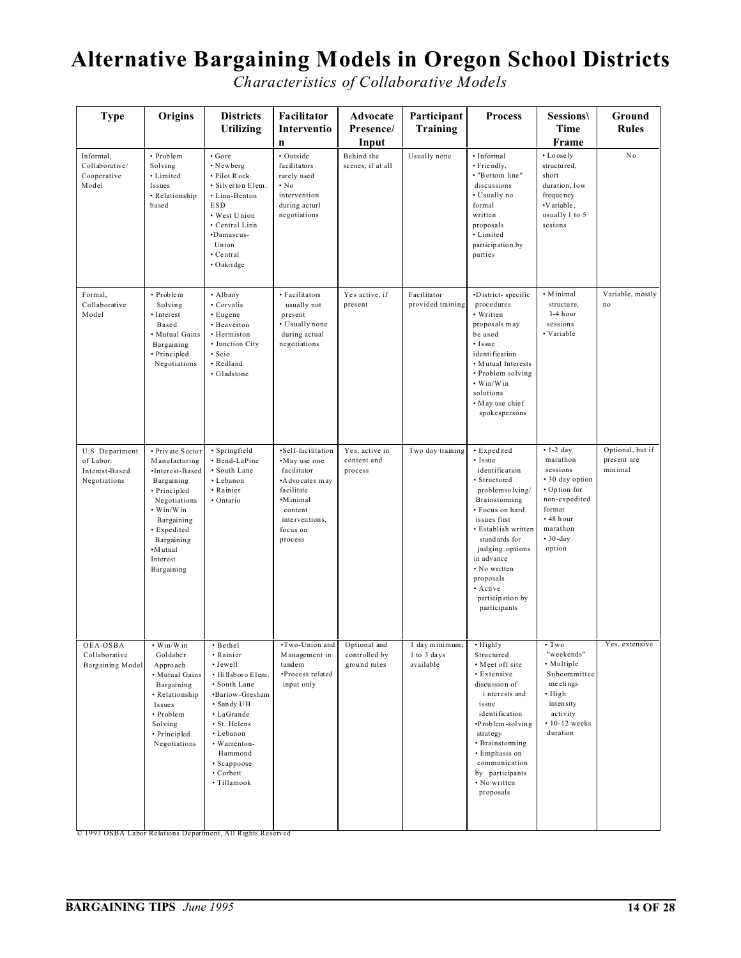## **Alternative Bargaining Models in Oregon School Districts**

*Characteristics of Collaborative Models*

| · Outside<br>Behind the<br>Usually none<br>· Informal<br>• Lo ose ly<br>No<br>• Problem<br>· Gore<br>Informal,<br>· Newberg<br>facilitators<br>Collaborative/<br>Solving<br>scenes, if at all<br>· Friendly,<br>structured,<br>• Limited<br>• Pilot Rock<br>• "Bottom line"<br>short<br>Cooperative<br>rarely used<br>discussions<br>Model<br>· Silverton Elem.<br>$\cdot$ No<br>duration, low<br>Issues<br>· Linn-Benton<br>intervention<br>• Usually no<br>frequency<br>• Relationship<br><b>ESD</b><br>during acturl<br>formal<br>·Variable,<br>based<br>• West Union<br>usually 1 to 5<br>negotiations<br>written<br>· Central Linn<br>sesions<br>proposals<br>·Damascus-<br>• Limited<br>Union<br>participation by<br>· Central<br>parties<br>· Oakridge<br>• Minimal<br>Yes active, if<br>Facilitator<br>·District-specific<br>Formal,<br>• Problem<br>• Albany<br>• Facilitators<br>structure,<br>Collaborative<br>• Corvalis<br>usually not<br>present<br>provided training<br>procedures<br>no<br>Solving<br>3-4 hour<br>• Written<br>Model<br>• Interest<br>• Eugene<br>present<br>• Usually none<br>sessions<br>Based<br>• Beaverton<br>proposals may<br>• Variable<br>· Mutual Gains<br>during actual<br>be used<br>• Hermiston<br>Bargaining<br>• Junction City<br>negotiations<br>• Issue<br>· Principled<br>· Scio<br>identification<br>• Redland<br>Negotiations<br>• Mutual Interests<br>· Gladstone<br>• Problem solving<br>• Win/Win<br>solutions<br>• May use chief<br>spokespersons<br>$\cdot$ 1-2 day<br>·Self-facilitation<br>• Expedited<br>U.S.Department<br>• Private Sector<br>· Springfield<br>Yes, active in<br>Two day training<br>marathon<br>present are<br>• Bend-LaPine<br>•May use one<br>content and<br>• Issue<br>of Labor:<br>Manufacturing<br>sessions<br>minimal<br>· South Lane<br>process<br>identification<br>Interest-Based<br>·Interest-Based<br>facilitator<br>• 30 day option<br>• Lebanon<br>• Structured<br>Negotiations<br>Bargaining<br>•A dvo cates may<br>• Option for<br>· Principled<br>• Rainier<br>facilitate<br>problemsolving/<br>non-expedited<br>Negotiations<br>· Ontario<br>•Minimal<br>Brainstorming<br>· Focus on hard<br>format<br>• Win/Win<br>content<br>$\cdot$ 48 hour<br>interventions.<br>issues first<br>Bargaining<br>marathon<br>• Expedited<br>focus on<br>• Establish written<br>$• 30-day$<br>standards for<br>Bargaining<br>process<br>·Mutual<br>judging options<br>option<br>in advance<br>Interest<br>• No written<br>Bargaining<br>proposals<br>• Active<br>participation by<br>participants<br>$\cdot$ Two<br>•Two-Union and<br>• Win/Win<br>Optional and<br>1 day minimum;<br>• Highly<br>OEA-OSBA<br>• Bethel<br>"weekends"<br>Management in<br>controlled by<br>1 to 3 days<br>Collaborative<br>Goldaber<br>• Rainier<br>Structured<br>• Meet off site<br>• Multiple<br>Bargaining Model<br>· Jewell<br>tandem<br>ground rules<br>available<br>Approach<br>Subcommittee<br>•Process related<br>• Extensive<br>· Hillsboro Elem.<br>• Mutual Gains<br>meetings<br>· South Lane<br>input only<br>discussion of<br>Bargaining<br>• High<br>• Relationship<br>·Barlow-Gresham<br>i nterests and<br>intensity<br>• Sandy UH<br>issue<br>Issues<br>identification<br>activity<br>• Problem<br>• LaGrande<br>$\cdot$ 10-12 weeks<br>•Problem-solving<br>Solving<br>· St. Helens<br>duration<br>• Lebanon<br>• Principled<br>strategy<br>• Brainstoming<br>Negotiations<br>• Warrenton-<br>• Emphasis on<br>Hammond<br>• Scappoose<br>communication<br>• Corbett<br>by participants<br>• No written<br>· Tillamook<br>proposals | <b>Type</b> | Origins | <b>Districts</b><br><b>Utilizing</b> | Facilitator<br>Interventio<br>$\mathbf n$ | Advocate<br>Presence/<br>Input | Participant<br><b>Training</b> | <b>Process</b> | Sessions\<br>Time<br>Frame | Ground<br><b>Rules</b> |
|----------------------------------------------------------------------------------------------------------------------------------------------------------------------------------------------------------------------------------------------------------------------------------------------------------------------------------------------------------------------------------------------------------------------------------------------------------------------------------------------------------------------------------------------------------------------------------------------------------------------------------------------------------------------------------------------------------------------------------------------------------------------------------------------------------------------------------------------------------------------------------------------------------------------------------------------------------------------------------------------------------------------------------------------------------------------------------------------------------------------------------------------------------------------------------------------------------------------------------------------------------------------------------------------------------------------------------------------------------------------------------------------------------------------------------------------------------------------------------------------------------------------------------------------------------------------------------------------------------------------------------------------------------------------------------------------------------------------------------------------------------------------------------------------------------------------------------------------------------------------------------------------------------------------------------------------------------------------------------------------------------------------------------------------------------------------------------------------------------------------------------------------------------------------------------------------------------------------------------------------------------------------------------------------------------------------------------------------------------------------------------------------------------------------------------------------------------------------------------------------------------------------------------------------------------------------------------------------------------------------------------------------------------------------------------------------------------------------------------------------------------------------------------------------------------------------------------------------------------------------------------------------------------------------------------------------------------------------------------------------------------------------------------------------------------------------------------------------------------------------------------------------------------------------------------------------------------------------------------------------------------------------------------------------------------------------------------------------------------------------------------------------------------------------------------------------------------------------------------------------------------------------------------------------------------------------------------------------------------------|-------------|---------|--------------------------------------|-------------------------------------------|--------------------------------|--------------------------------|----------------|----------------------------|------------------------|
|                                                                                                                                                                                                                                                                                                                                                                                                                                                                                                                                                                                                                                                                                                                                                                                                                                                                                                                                                                                                                                                                                                                                                                                                                                                                                                                                                                                                                                                                                                                                                                                                                                                                                                                                                                                                                                                                                                                                                                                                                                                                                                                                                                                                                                                                                                                                                                                                                                                                                                                                                                                                                                                                                                                                                                                                                                                                                                                                                                                                                                                                                                                                                                                                                                                                                                                                                                                                                                                                                                                                                                                                                |             |         |                                      |                                           |                                |                                |                |                            |                        |
|                                                                                                                                                                                                                                                                                                                                                                                                                                                                                                                                                                                                                                                                                                                                                                                                                                                                                                                                                                                                                                                                                                                                                                                                                                                                                                                                                                                                                                                                                                                                                                                                                                                                                                                                                                                                                                                                                                                                                                                                                                                                                                                                                                                                                                                                                                                                                                                                                                                                                                                                                                                                                                                                                                                                                                                                                                                                                                                                                                                                                                                                                                                                                                                                                                                                                                                                                                                                                                                                                                                                                                                                                |             |         |                                      |                                           |                                |                                |                |                            | Variable, mostly       |
|                                                                                                                                                                                                                                                                                                                                                                                                                                                                                                                                                                                                                                                                                                                                                                                                                                                                                                                                                                                                                                                                                                                                                                                                                                                                                                                                                                                                                                                                                                                                                                                                                                                                                                                                                                                                                                                                                                                                                                                                                                                                                                                                                                                                                                                                                                                                                                                                                                                                                                                                                                                                                                                                                                                                                                                                                                                                                                                                                                                                                                                                                                                                                                                                                                                                                                                                                                                                                                                                                                                                                                                                                |             |         |                                      |                                           |                                |                                |                |                            | Optional, but if       |
|                                                                                                                                                                                                                                                                                                                                                                                                                                                                                                                                                                                                                                                                                                                                                                                                                                                                                                                                                                                                                                                                                                                                                                                                                                                                                                                                                                                                                                                                                                                                                                                                                                                                                                                                                                                                                                                                                                                                                                                                                                                                                                                                                                                                                                                                                                                                                                                                                                                                                                                                                                                                                                                                                                                                                                                                                                                                                                                                                                                                                                                                                                                                                                                                                                                                                                                                                                                                                                                                                                                                                                                                                |             |         |                                      |                                           |                                |                                |                |                            | Yes, extensive         |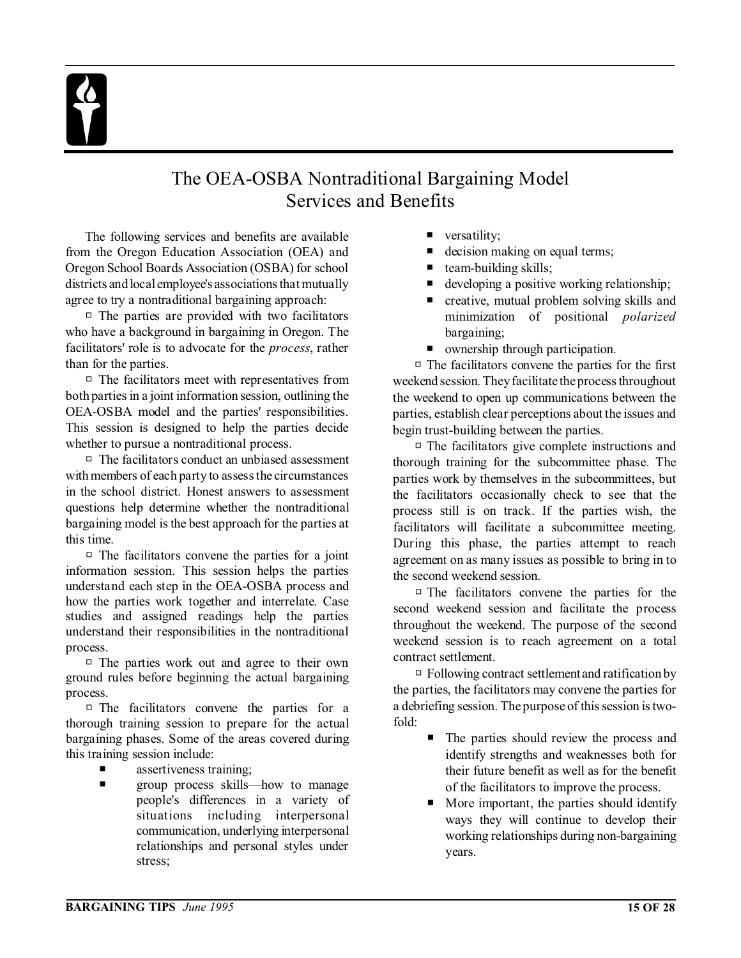## The OEA-OSBA Nontraditional Bargaining Model Services and Benefits

The following services and benefits are available from the Oregon Education Association (OEA) and Oregon School Boards Association (OSBA) for school districts and local employee's associations that mutually agree to try a nontraditional bargaining approach:

 $\Box$  The parties are provided with two facilitators who have a background in bargaining in Oregon. The facilitators' role is to advocate for the *process*, rather than for the parties.

 $\Box$  The facilitators meet with representatives from both parties in a joint information session, outlining the OEA-OSBA model and the parties' responsibilities. This session is designed to help the parties decide whether to pursue a nontraditional process.

 $\Box$  The facilitators conduct an unbiased assessment with members of each party to assess the circumstances in the school district. Honest answers to assessment questions help determine whether the nontraditional bargaining model is the best approach for the parties at this time.

 $\Box$  The facilitators convene the parties for a joint information session. This session helps the parties understand each step in the OEA-OSBA process and how the parties work together and interrelate. Case studies and assigned readings help the parties understand their responsibilities in the nontraditional process.

 $\Box$  The parties work out and agree to their own ground rules before beginning the actual bargaining process.

 $\Box$  The facilitators convene the parties for a thorough training session to prepare for the actual bargaining phases. Some of the areas covered during this training session include:

- assertiveness training;
- **P** group process skills—how to manage people's differences in a variety of situations including interpersonal communication, underlying interpersonal relationships and personal styles under stress;
- $\blacksquare$  versatility;
- decision making on equal terms;
- $\blacksquare$  team-building skills;
- developing a positive working relationship;
- creative, mutual problem solving skills and minimization of positional *polarized* bargaining;
- ownership through participation.

 $\Box$  The facilitators convene the parties for the first weekend session. They facilitate the process throughout the weekend to open up communications between the parties, establish clear perceptions about the issues and begin trust-building between the parties.

 $\Box$  The facilitators give complete instructions and thorough training for the subcommittee phase. The parties work by themselves in the subcommittees, but the facilitators occasionally check to see that the process still is on track. If the parties wish, the facilitators will facilitate a subcommittee meeting. During this phase, the parties attempt to reach agreement on as many issues as possible to bring in to the second weekend session.

 $\Box$  The facilitators convene the parties for the second weekend session and facilitate the process throughout the weekend. The purpose of the second weekend session is to reach agreement on a total contract settlement.

 $\Box$  Following contract settlement and ratification by the parties, the facilitators may convene the parties for a debriefing session. The purpose of this session is twofold:

- P The parties should review the process and identify strengths and weaknesses both for their future benefit as well as for the benefit of the facilitators to improve the process.
- More important, the parties should identify ways they will continue to develop their working relationships during non-bargaining years.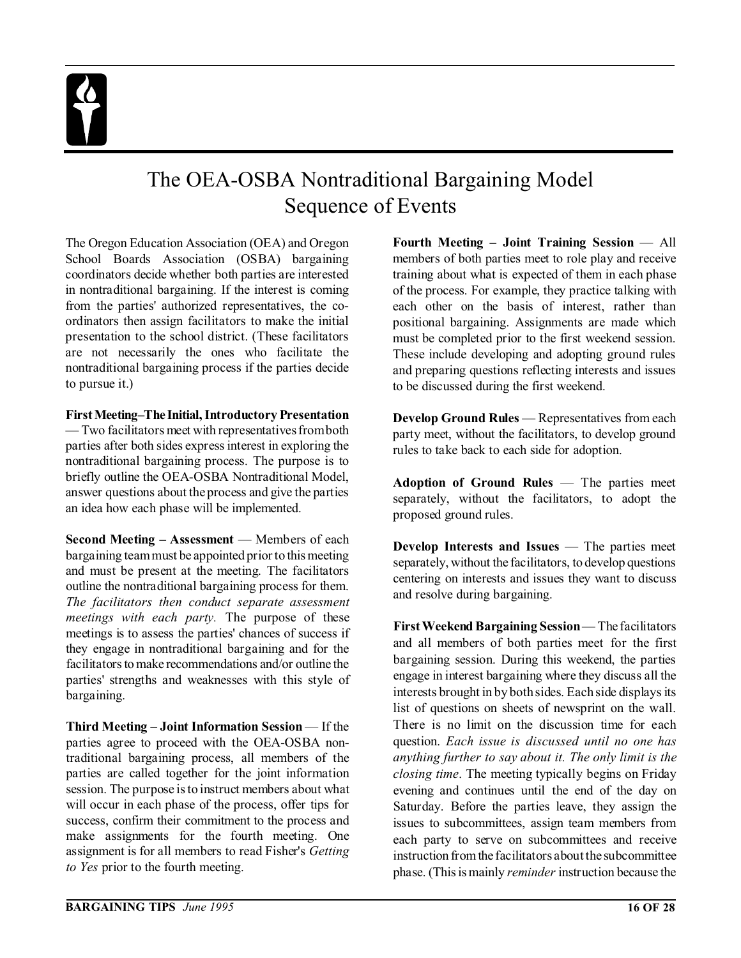## The OEA-OSBA Nontraditional Bargaining Model Sequence of Events

The Oregon Education Association (OEA) and Oregon School Boards Association (OSBA) bargaining coordinators decide whether both parties are interested in nontraditional bargaining. If the interest is coming from the parties' authorized representatives, the coordinators then assign facilitators to make the initial presentation to the school district. (These facilitators are not necessarily the ones who facilitate the nontraditional bargaining process if the parties decide to pursue it.)

#### **FirstMeeting–The Initial, Introductory Presentation**

— Two facilitators meet with representatives from both parties after both sides express interest in exploring the nontraditional bargaining process. The purpose is to briefly outline the OEA-OSBA Nontraditional Model, answer questions about the process and give the parties an idea how each phase will be implemented.

**Second Meeting – Assessment** — Members of each bargaining team must be appointed prior to this meeting and must be present at the meeting. The facilitators outline the nontraditional bargaining process for them. *The facilitators then conduct separate assessment meetings with each party.* The purpose of these meetings is to assess the parties' chances of success if they engage in nontraditional bargaining and for the facilitators to make recommendations and/or outline the parties' strengths and weaknesses with this style of bargaining.

**Third Meeting – Joint Information Session** — If the parties agree to proceed with the OEA-OSBA nontraditional bargaining process, all members of the parties are called together for the joint information session. The purpose is to instruct members about what will occur in each phase of the process, offer tips for success, confirm their commitment to the process and make assignments for the fourth meeting. One assignment is for all members to read Fisher's *Getting to Yes* prior to the fourth meeting.

**Fourth Meeting – Joint Training Session** — All members of both parties meet to role play and receive training about what is expected of them in each phase of the process. For example, they practice talking with each other on the basis of interest, rather than positional bargaining. Assignments are made which must be completed prior to the first weekend session. These include developing and adopting ground rules and preparing questions reflecting interests and issues to be discussed during the first weekend.

**Develop Ground Rules** — Representatives from each party meet, without the facilitators, to develop ground rules to take back to each side for adoption.

**Adoption of Ground Rules** — The parties meet separately, without the facilitators, to adopt the proposed ground rules.

**Develop Interests and Issues** — The parties meet separately, without the facilitators, to develop questions centering on interests and issues they want to discuss and resolve during bargaining.

**First Weekend Bargaining Session** — The facilitators and all members of both parties meet for the first bargaining session. During this weekend, the parties engage in interest bargaining where they discuss all the interests brought in by both sides. Each side displays its list of questions on sheets of newsprint on the wall. There is no limit on the discussion time for each question. *Each issue is discussed until no one has anything further to say about it. The only limit is the closing time*. The meeting typically begins on Friday evening and continues until the end of the day on Saturday. Before the parties leave, they assign the issues to subcommittees, assign team members from each party to serve on subcommittees and receive instruction from the facilitators about the subcommittee phase. (This is mainly *reminder* instruction because the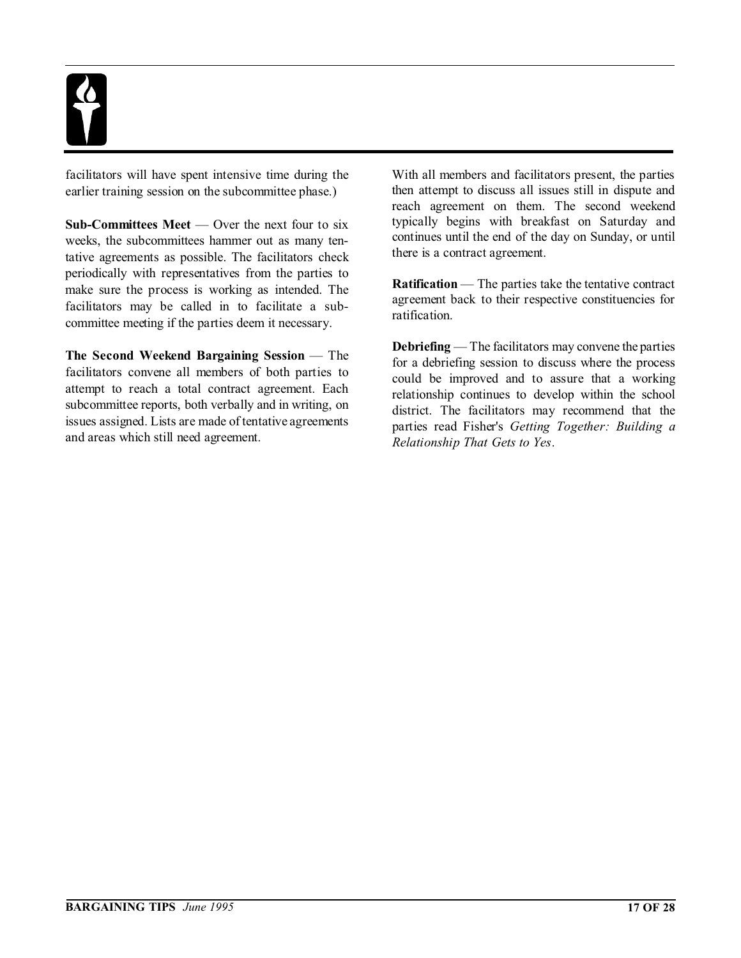facilitators will have spent intensive time during the earlier training session on the subcommittee phase.)

**Sub-Committees Meet** — Over the next four to six weeks, the subcommittees hammer out as many tentative agreements as possible. The facilitators check periodically with representatives from the parties to make sure the process is working as intended. The facilitators may be called in to facilitate a subcommittee meeting if the parties deem it necessary.

**The Second Weekend Bargaining Session** — The facilitators convene all members of both parties to attempt to reach a total contract agreement. Each subcommittee reports, both verbally and in writing, on issues assigned. Lists are made of tentative agreements and areas which still need agreement.

With all members and facilitators present, the parties then attempt to discuss all issues still in dispute and reach agreement on them. The second weekend typically begins with breakfast on Saturday and continues until the end of the day on Sunday, or until there is a contract agreement.

**Ratification** — The parties take the tentative contract agreement back to their respective constituencies for ratification.

**Debriefing** — The facilitators may convene the parties for a debriefing session to discuss where the process could be improved and to assure that a working relationship continues to develop within the school district. The facilitators may recommend that the parties read Fisher's *Getting Together: Building a Relationship That Gets to Yes*.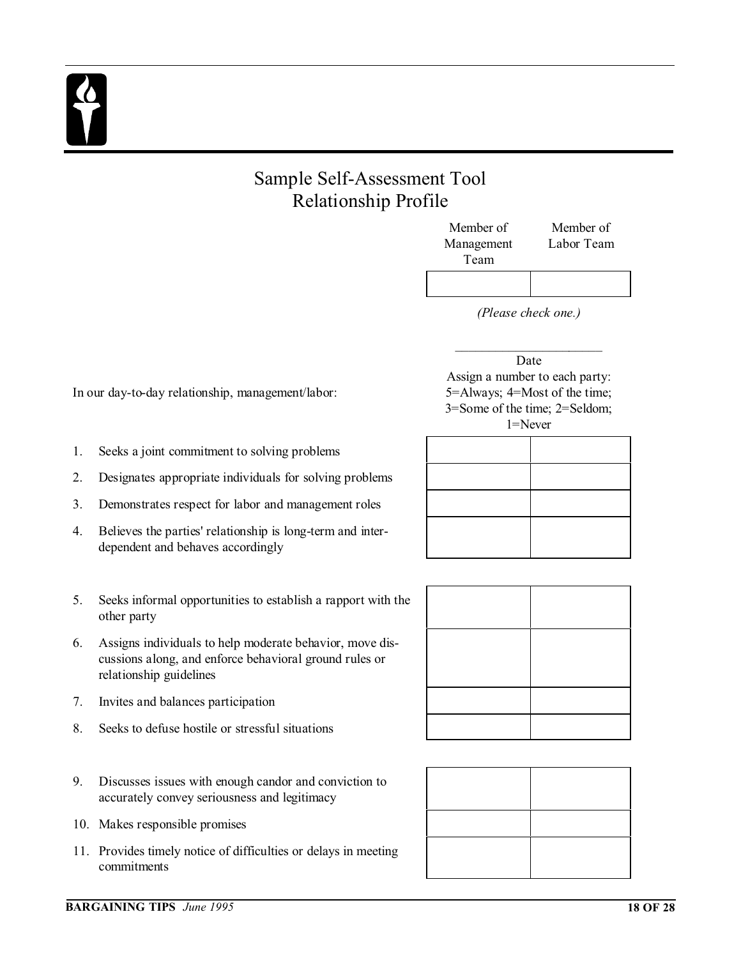## Sample Self-Assessment Tool Relationship Profile

| Member of  | Member of  |
|------------|------------|
| Management | Labor Team |
| Team       |            |
|            |            |

*(Please check one.)*

#### $\overline{\phantom{a}}$  , where  $\overline{\phantom{a}}$ Date Assign a number to each party: 5=Always; 4=Most of the time; 3=Some of the time; 2=Seldom; 1=Never



In our day-to-day relationship, management/labor:

- 1. Seeks a joint commitment to solving problems
- 2. Designates appropriate individuals for solving problems
- 3. Demonstrates respect for labor and management roles
- 4. Believes the parties' relationship is long-term and interdependent and behaves accordingly
- 5. Seeks informal opportunities to establish a rapport with the other party
- 6. Assigns individuals to help moderate behavior, move discussions along, and enforce behavioral ground rules or relationship guidelines
- 7. Invites and balances participation
- 8. Seeks to defuse hostile or stressful situations
- 9. Discusses issues with enough candor and conviction to accurately convey seriousness and legitimacy
- 10. Makes responsible promises
- 11. Provides timely notice of difficulties or delays in meeting commitments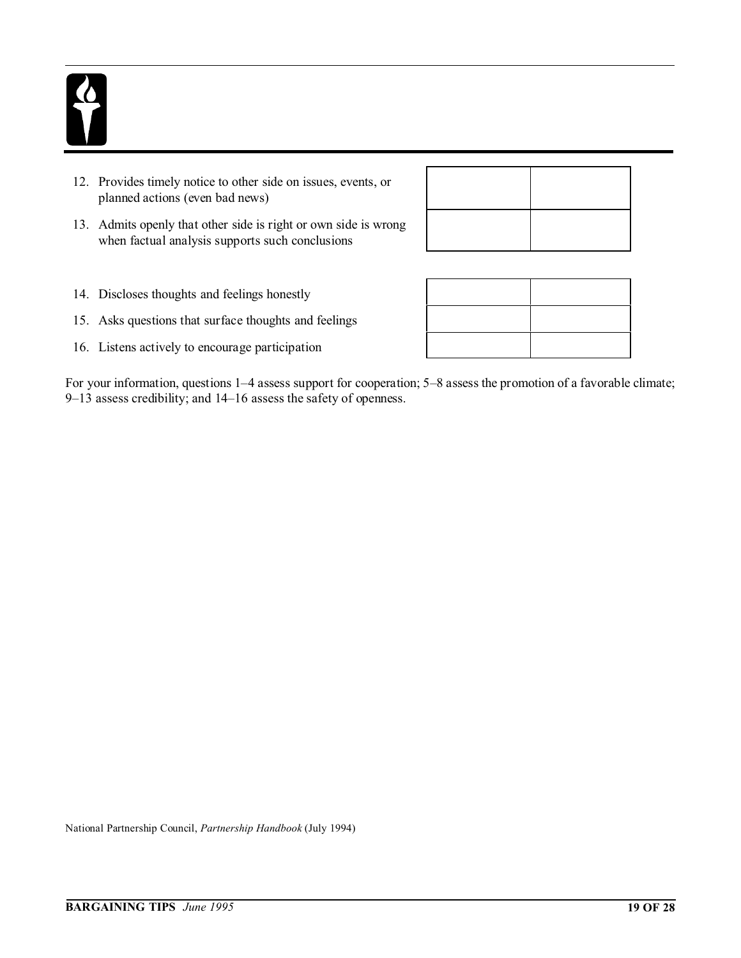- 12. Provides timely notice to other side on issues, events, or planned actions (even bad news)
- 13. Admits openly that other side is right or own side is wrong when factual analysis supports such conclusions

- 14. Discloses thoughts and feelings honestly
- 15. Asks questions that surface thoughts and feelings
- 16. Listens actively to encourage participation

For your information, questions 1–4 assess support for cooperation; 5–8 assess the promotion of a favorable climate; 9–13 assess credibility; and 14–16 assess the safety of openness.

National Partnership Council, *Partnership Handbook* (July 1994)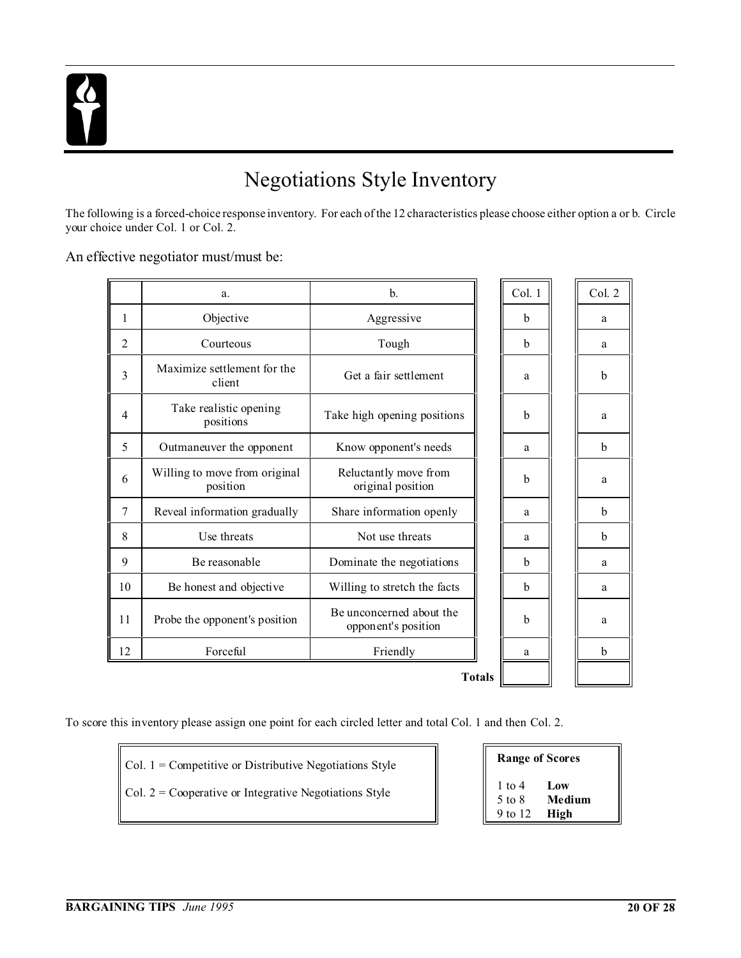## Negotiations Style Inventory

The following is a forced-choice response inventory. For each of the 12 characteristics please choose either option a or b. Circle your choice under Col. 1 or Col. 2.

#### An effective negotiator must/must be:

|                | a.                                        | b.                                              |               | Col. 1 | Col. 2 |
|----------------|-------------------------------------------|-------------------------------------------------|---------------|--------|--------|
| 1              | Objective                                 | Aggressive                                      |               | b      | a      |
| 2              | Courteous                                 | Tough                                           |               | b      | a      |
| $\overline{3}$ | Maximize settlement for the<br>client     | Get a fair settlement                           |               | a      | b      |
| $\overline{4}$ | Take realistic opening<br>positions       | Take high opening positions                     |               | b      | a      |
| 5              | Outmaneuver the opponent                  | Know opponent's needs                           |               | a      | b      |
| 6              | Willing to move from original<br>position | Reluctantly move from<br>original position      |               | b      | a      |
| $\overline{7}$ | Reveal information gradually              | Share information openly                        |               | a      | b      |
| 8              | Use threats                               | Not use threats                                 |               | a      | b      |
| 9              | Be reasonable                             | Dominate the negotiations                       |               | b      | a      |
| 10             | Be honest and objective                   | Willing to stretch the facts                    |               | b      | a      |
| 11             | Probe the opponent's position             | Be unconcerned about the<br>opponent's position |               | b      | a      |
| 12             | Forceful                                  | Friendly                                        |               | a      | b      |
|                |                                           |                                                 | <b>Totals</b> |        |        |

**Totals**

To score this inventory please assign one point for each circled letter and total Col. 1 and then Col. 2.

- Col. 1 = Competitive or Distributive Negotiations Style
- Col. 2 = Cooperative or Integrative Negotiations Style

| <b>Range of Scores</b> |        |  |  |  |  |
|------------------------|--------|--|--|--|--|
| 1 to 4                 | Low    |  |  |  |  |
| $5 \text{ to } 8$      | Medium |  |  |  |  |
| 9 to 12                | High   |  |  |  |  |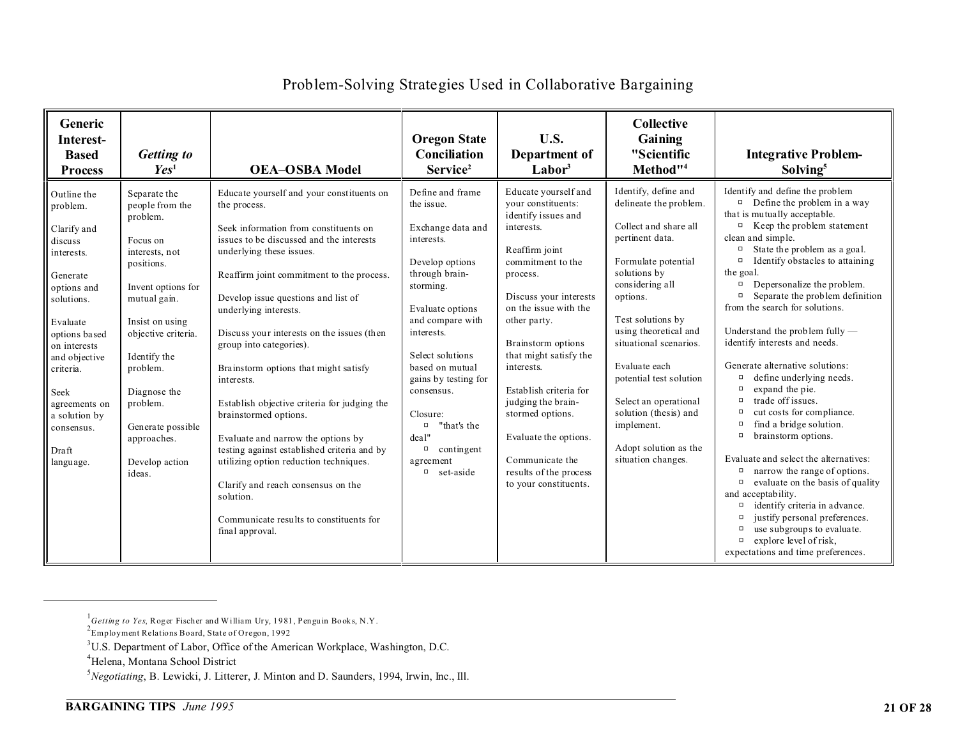| Generic<br>Interest-<br><b>Based</b><br><b>Process</b>                                                                                                                                                                                                            | Getting to<br>Yes <sup>1</sup>                                                                                                                                                                                                                                                                  | <b>OEA-OSBA Model</b>                                                                                                                                                                                                                                                                                                                                                                                                                                                                                                                                                                                                                                                                                                                            | <b>Oregon State</b><br>Conciliation<br>Service <sup>2</sup>                                                                                                                                                                                                                                                                                                      | U.S.<br>Department of<br>$\mathbf{Labor}^3$                                                                                                                                                                                                                                                                                                                                                                                            | <b>Collective</b><br>Gaining<br>"Scientific<br>Method" <sup>4</sup>                                                                                                                                                                                                                                                                                                                                 | <b>Integrative Problem-</b><br>Solving <sup>5</sup>                                                                                                                                                                                                                                                                                                                                                                                                                                                                                                                                                                                                                                                                                                                                                                                                                                                                                                                                                                                                                   |
|-------------------------------------------------------------------------------------------------------------------------------------------------------------------------------------------------------------------------------------------------------------------|-------------------------------------------------------------------------------------------------------------------------------------------------------------------------------------------------------------------------------------------------------------------------------------------------|--------------------------------------------------------------------------------------------------------------------------------------------------------------------------------------------------------------------------------------------------------------------------------------------------------------------------------------------------------------------------------------------------------------------------------------------------------------------------------------------------------------------------------------------------------------------------------------------------------------------------------------------------------------------------------------------------------------------------------------------------|------------------------------------------------------------------------------------------------------------------------------------------------------------------------------------------------------------------------------------------------------------------------------------------------------------------------------------------------------------------|----------------------------------------------------------------------------------------------------------------------------------------------------------------------------------------------------------------------------------------------------------------------------------------------------------------------------------------------------------------------------------------------------------------------------------------|-----------------------------------------------------------------------------------------------------------------------------------------------------------------------------------------------------------------------------------------------------------------------------------------------------------------------------------------------------------------------------------------------------|-----------------------------------------------------------------------------------------------------------------------------------------------------------------------------------------------------------------------------------------------------------------------------------------------------------------------------------------------------------------------------------------------------------------------------------------------------------------------------------------------------------------------------------------------------------------------------------------------------------------------------------------------------------------------------------------------------------------------------------------------------------------------------------------------------------------------------------------------------------------------------------------------------------------------------------------------------------------------------------------------------------------------------------------------------------------------|
| Outline the<br>problem.<br>Clarify and<br>discuss<br>interests.<br>Generate<br>options and<br>solutions.<br>Evaluate<br>options based<br>on interests<br>and objective<br>criteria.<br>Seek<br>agreements on<br>a solution by<br>consensus.<br>Draft<br>language. | Separate the<br>people from the<br>problem.<br>Focus on<br>interests, not<br>positions.<br>Invent options for<br>mutual gain.<br>Insist on using<br>objective criteria.<br>Identify the<br>problem.<br>Diagnose the<br>problem.<br>Generate possible<br>approaches.<br>Develop action<br>ideas. | Educate yourself and your constituents on<br>the process.<br>Seek information from constituents on<br>issues to be discussed and the interests<br>underlying these issues.<br>Reaffirm joint commitment to the process.<br>Develop issue questions and list of<br>underlying interests.<br>Discuss your interests on the issues (then<br>group into categories).<br>Brainstorm options that might satisfy<br>interests.<br>Establish objective criteria for judging the<br>brainstormed options.<br>Evaluate and narrow the options by<br>testing against established criteria and by<br>utilizing option reduction techniques.<br>Clarify and reach consensus on the<br>solution.<br>Communicate results to constituents for<br>final approval. | Define and frame<br>the issue.<br>Exchange data and<br>interests.<br>Develop options<br>through brain-<br>storming.<br>Evaluate options<br>and compare with<br>interests.<br>Select solutions<br>based on mutual<br>gains by testing for<br>consensus.<br>Closure:<br>"that's the<br>$\Box$<br>deal"<br>$\Box$<br>contingent<br>agreement<br>set-aside<br>$\Box$ | Educate yourself and<br>your constituents:<br>identify issues and<br>interests.<br>Reaffirm joint<br>commitment to the<br>process.<br>Discuss your interests<br>on the issue with the<br>other party.<br>Brainstorm options<br>that might satisfy the<br>interests.<br>Establish criteria for<br>judging the brain-<br>stormed options.<br>Evaluate the options.<br>Communicate the<br>results of the process<br>to your constituents. | Identify, define and<br>delineate the problem.<br>Collect and share all<br>pertinent data.<br>Formulate potential<br>solutions by<br>considering all<br>options.<br>Test solutions by<br>using theoretical and<br>situational scenarios.<br>Evaluate each<br>potential test solution<br>Select an operational<br>solution (thesis) and<br>implement.<br>Adopt solution as the<br>situation changes. | Identify and define the problem<br>Define the problem in a way<br>$\Box$<br>that is mutually acceptable.<br>Keep the problem statement<br>$\Box$<br>clean and simple.<br>State the problem as a goal.<br>$\Box$<br>Identify obstacles to attaining<br>$\Box$<br>the goal.<br>Depersonalize the problem.<br>α<br>Separate the problem definition<br>$\Box$<br>from the search for solutions.<br>Understand the problem fully —<br>identify interests and needs.<br>Generate alternative solutions:<br>define underlying needs.<br>$\Box$<br>expand the pie.<br>$\Box$<br>trade off issues.<br>$\Box$<br>cut costs for compliance.<br>$\Box$<br>find a bridge solution.<br>$\Box$<br>brainstorm options.<br>$\Box$<br>Evaluate and select the alternatives:<br>narrow the range of options.<br>$\Box$<br>evaluate on the basis of quality<br>$\Box$<br>and acceptability.<br>identify criteria in advance.<br>$\Box$<br>justify personal preferences.<br>use subgroups to evaluate.<br>$\Box$<br>explore level of risk,<br>$\Box$<br>expectations and time preferences. |

#### Problem-Solving Strategies Used in Collaborative Bargaining

<sup>&</sup>lt;sup>1</sup> Getting to Yes, Roger Fischer and William Ury, 1981, Penguin Books, N.Y.<br><sup>2</sup>Employment Relations Board, State of Oregon, 1992

<sup>3</sup>U.S. Department of Labor, Office of the American Workplace, Washington, D.C.

<sup>4</sup>Helena, Montana School District

<sup>5</sup>*Negotiating*, B. Lewicki, J. Litterer, J. Minton and D. Saunders, 1994, Irwin, Inc., Ill.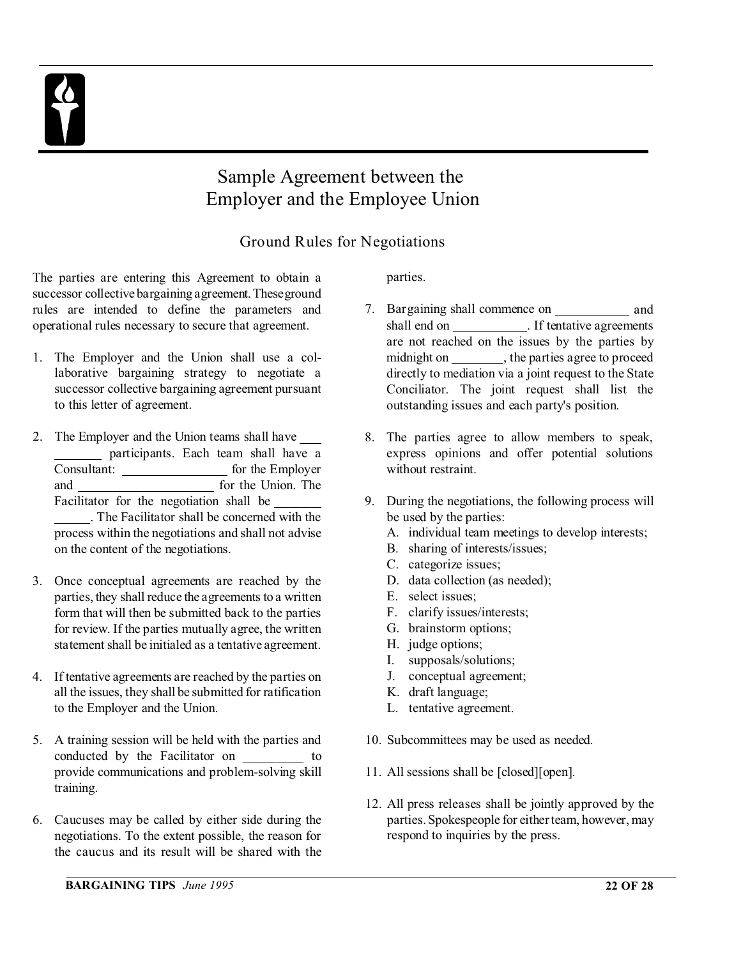## Sample Agreement between the Employer and the Employee Union

### Ground Rules for Negotiations

The parties are entering this Agreement to obtain a successor collective bargaining agreement.Theseground rules are intended to define the parameters and operational rules necessary to secure that agreement.

- 1. The Employer and the Union shall use a collaborative bargaining strategy to negotiate a successor collective bargaining agreement pursuant to this letter of agreement.
- 2. The Employer and the Union teams shall have participants. Each team shall have a Consultant: for the Employer and <u>contract of the Union</u>. The Facilitator for the negotiation shall be . The Facilitator shall be concerned with the process within the negotiations and shall not advise on the content of the negotiations.
- 3. Once conceptual agreements are reached by the parties, they shall reduce the agreements to a written form that will then be submitted back to the parties for review. If the parties mutually agree, the written statement shall be initialed as a tentative agreement.
- 4. If tentative agreements are reached by the parties on all the issues, they shall be submitted for ratification to the Employer and the Union.
- 5. A training session will be held with the parties and conducted by the Facilitator on \_\_\_\_\_\_\_\_\_ to provide communications and problem-solving skill training.
- 6. Caucuses may be called by either side during the negotiations. To the extent possible, the reason for the caucus and its result will be shared with the

parties.

- 7. Bargaining shall commence on and shall end on \_\_\_\_\_\_\_\_\_\_\_\_. If tentative agreements are not reached on the issues by the parties by midnight on \_\_\_\_\_\_\_\_\_, the parties agree to proceed directly to mediation via a joint request to the State Conciliator. The joint request shall list the outstanding issues and each party's position.
- 8. The parties agree to allow members to speak, express opinions and offer potential solutions without restraint.
- 9. During the negotiations, the following process will be used by the parties:
	- A. individual team meetings to develop interests;
	- B. sharing of interests/issues;
	- C. categorize issues;
	- D. data collection (as needed);
	- E. select issues;
	- F. clarify issues/interests;
	- G. brainstorm options;
	- H. judge options;
	- I. supposals/solutions;
	- J. conceptual agreement;
	- K. draft language;
	- L. tentative agreement.
- 10. Subcommittees may be used as needed.
- 11. All sessions shall be [closed][open].
- 12. All press releases shall be jointly approved by the parties. Spokespeople for either team, however, may respond to inquiries by the press.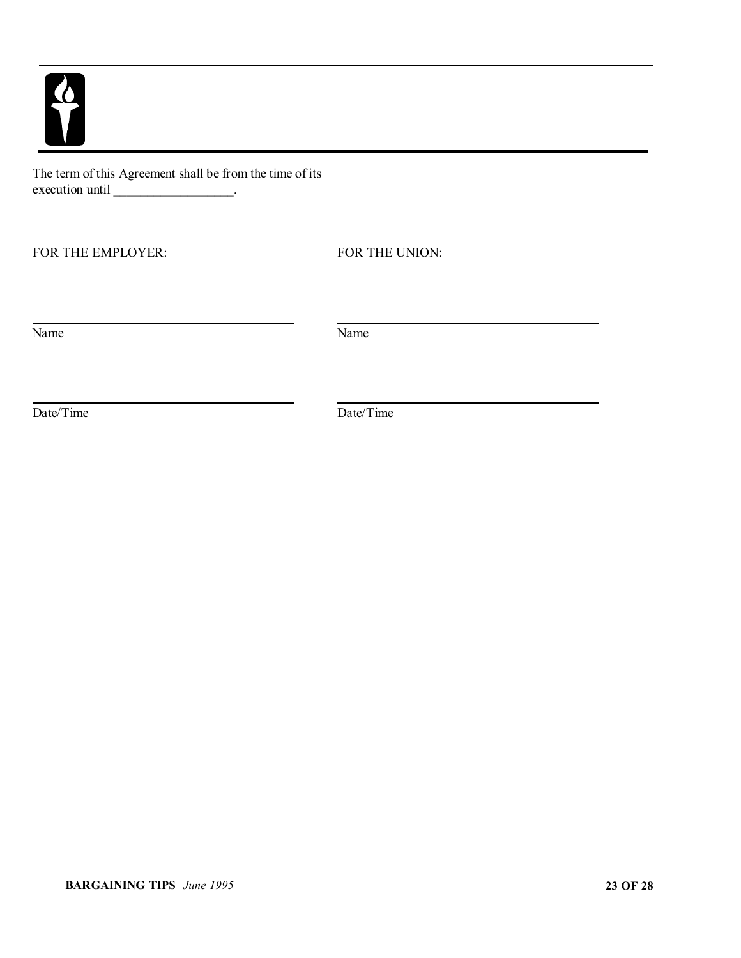$\overline{\mathbf{v}}$ 

The term of this Agreement shall be from the time of its execution until \_\_\_\_\_\_\_\_\_\_\_\_\_\_\_\_\_\_\_\_.

FOR THE EMPLOYER: FOR THE UNION:

Name Name Name

Date/Time Date/Time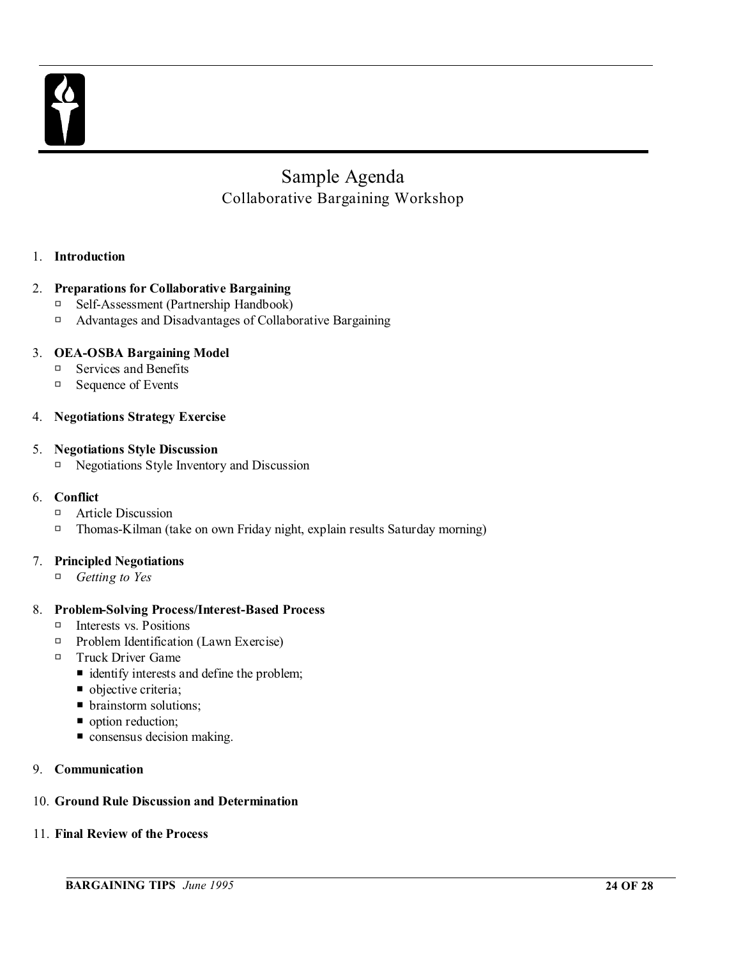

## Sample Agenda Collaborative Bargaining Workshop

#### 1. **Introduction**

#### 2. **Preparations for Collaborative Bargaining**

- □ Self-Assessment (Partnership Handbook)
- $\Box$  Advantages and Disadvantages of Collaborative Bargaining

#### 3. **OEA-OSBA Bargaining Model**

- $\Box$  Services and Benefits
- $\Box$  Sequence of Events

#### 4. **Negotiations Strategy Exercise**

#### 5. **Negotiations Style Discussion**

 $\Box$  Negotiations Style Inventory and Discussion

#### 6. **Conflict**

- □ Article Discussion
- $\Box$  Thomas-Kilman (take on own Friday night, explain results Saturday morning)

#### 7. **Principled Negotiations**

□ *Getting to Yes* 

#### 8. **Problem-Solving Process/Interest-Based Process**

- $\Box$  Interests vs. Positions
- $\Box$  Problem Identification (Lawn Exercise)
- $\Box$  Truck Driver Game
	- identify interests and define the problem;
	- objective criteria;
	- brainstorm solutions;
	- option reduction;
	- $\blacksquare$  consensus decision making.

#### 9. **Communication**

#### 10. **Ground Rule Discussion and Determination**

#### 11. **Final Review of the Process**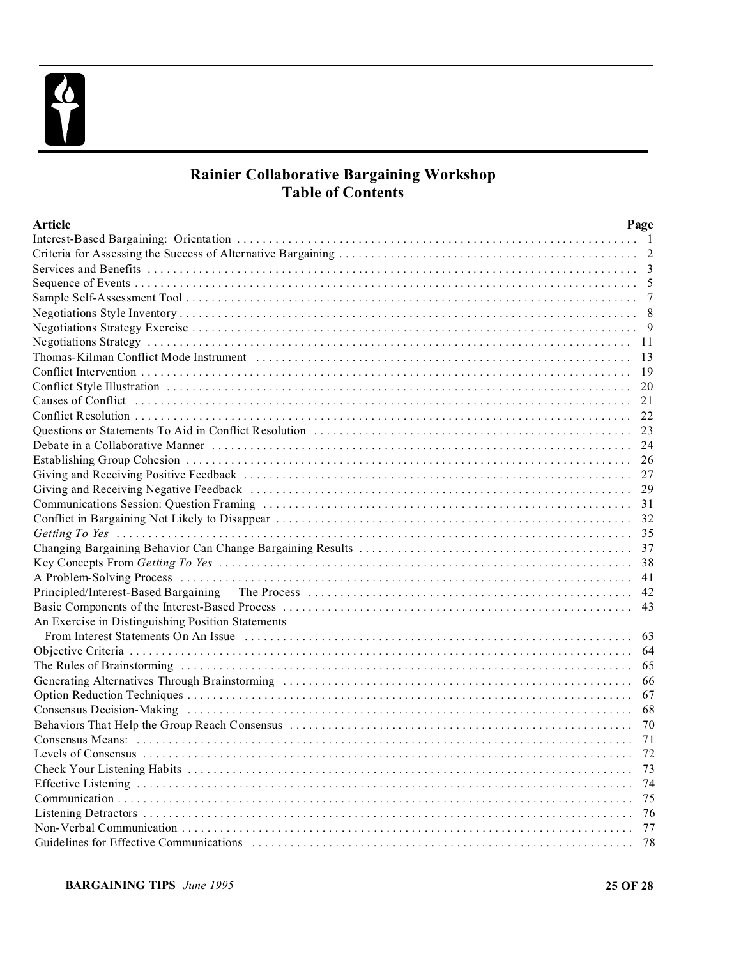

### **Rainier Collaborative Bargaining Workshop Table of Contents**

| <b>Article</b>                                                                                                                                                                                                                 | Page |
|--------------------------------------------------------------------------------------------------------------------------------------------------------------------------------------------------------------------------------|------|
|                                                                                                                                                                                                                                |      |
|                                                                                                                                                                                                                                |      |
|                                                                                                                                                                                                                                |      |
|                                                                                                                                                                                                                                |      |
|                                                                                                                                                                                                                                |      |
|                                                                                                                                                                                                                                |      |
|                                                                                                                                                                                                                                |      |
|                                                                                                                                                                                                                                |      |
|                                                                                                                                                                                                                                |      |
|                                                                                                                                                                                                                                |      |
|                                                                                                                                                                                                                                |      |
| Causes of Conflict (and according to the control of the control of the control of Conflict (and the control of                                                                                                                 | 21   |
|                                                                                                                                                                                                                                |      |
|                                                                                                                                                                                                                                |      |
|                                                                                                                                                                                                                                |      |
|                                                                                                                                                                                                                                | 26   |
|                                                                                                                                                                                                                                |      |
|                                                                                                                                                                                                                                |      |
|                                                                                                                                                                                                                                |      |
|                                                                                                                                                                                                                                |      |
|                                                                                                                                                                                                                                |      |
|                                                                                                                                                                                                                                |      |
|                                                                                                                                                                                                                                |      |
|                                                                                                                                                                                                                                |      |
|                                                                                                                                                                                                                                |      |
|                                                                                                                                                                                                                                |      |
| An Exercise in Distinguishing Position Statements                                                                                                                                                                              |      |
| From Interest Statements On An Issue (a) respectively and the content of the statements on An Issue (b) and the statements on An Issue (b) and the statements of the statements of the statements of the statements of the sta | 63   |
|                                                                                                                                                                                                                                | -64  |
|                                                                                                                                                                                                                                | 65   |
|                                                                                                                                                                                                                                |      |
|                                                                                                                                                                                                                                |      |
|                                                                                                                                                                                                                                | 68   |
|                                                                                                                                                                                                                                | 70   |
|                                                                                                                                                                                                                                | 71   |
|                                                                                                                                                                                                                                |      |
|                                                                                                                                                                                                                                | 73   |
|                                                                                                                                                                                                                                |      |
|                                                                                                                                                                                                                                |      |
|                                                                                                                                                                                                                                |      |
|                                                                                                                                                                                                                                | 77   |
|                                                                                                                                                                                                                                | -78  |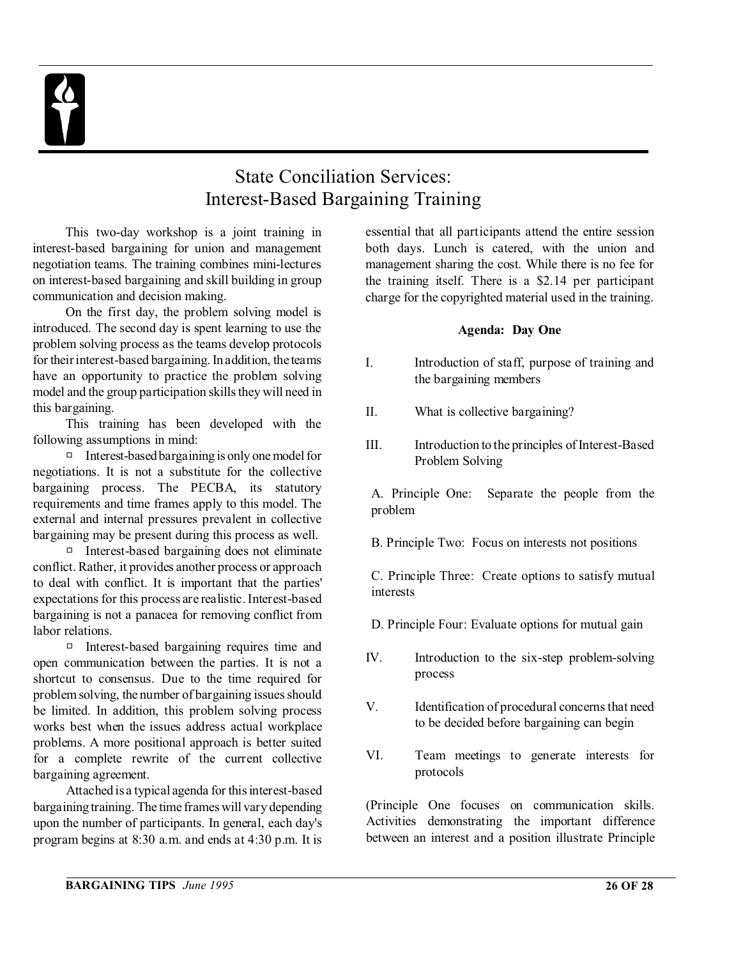

## State Conciliation Services: Interest-Based Bargaining Training

This two-day workshop is a joint training in interest-based bargaining for union and management negotiation teams. The training combines mini-lectures on interest-based bargaining and skill building in group communication and decision making.

On the first day, the problem solving model is introduced. The second day is spent learning to use the problem solving process as the teams develop protocols for their interest-based bargaining. In addition, the teams have an opportunity to practice the problem solving model and the group participation skills they will need in this bargaining.

This training has been developed with the following assumptions in mind:

 $\Box$  Interest-based bargaining is only one model for negotiations. It is not a substitute for the collective bargaining process. The PECBA, its statutory requirements and time frames apply to this model. The external and internal pressures prevalent in collective bargaining may be present during this process as well.

Interest-based bargaining does not eliminate conflict. Rather, it provides another process or approach to deal with conflict. It is important that the parties' expectations for this process are realistic. Interest-based bargaining is not a panacea for removing conflict from labor relations.

 $\Box$  Interest-based bargaining requires time and open communication between the parties. It is not a shortcut to consensus. Due to the time required for problem solving, the number of bargaining issues should be limited. In addition, this problem solving process works best when the issues address actual workplace problems. A more positional approach is better suited for a complete rewrite of the current collective bargaining agreement.

Attached is a typical agenda for this interest-based bargaining training. The time frames will vary depending upon the number of participants. In general, each day's program begins at 8:30 a.m. and ends at 4:30 p.m. It is

essential that all participants attend the entire session both days. Lunch is catered, with the union and management sharing the cost. While there is no fee for the training itself. There is a \$2.14 per participant charge for the copyrighted material used in the training.

#### **Agenda: Day One**

- I. Introduction of staff, purpose of training and the bargaining members
- II. What is collective bargaining?
- III. Introduction to the principles of Interest-Based Problem Solving

A. Principle One: Separate the people from the problem

B. Principle Two: Focus on interests not positions

C. Principle Three: Create options to satisfy mutual interests

- D. Principle Four: Evaluate options for mutual gain
- IV. Introduction to the six-step problem-solving process
- V. Identification of procedural concerns that need to be decided before bargaining can begin
- VI. Team meetings to generate interests for protocols

(Principle One focuses on communication skills. Activities demonstrating the important difference between an interest and a position illustrate Principle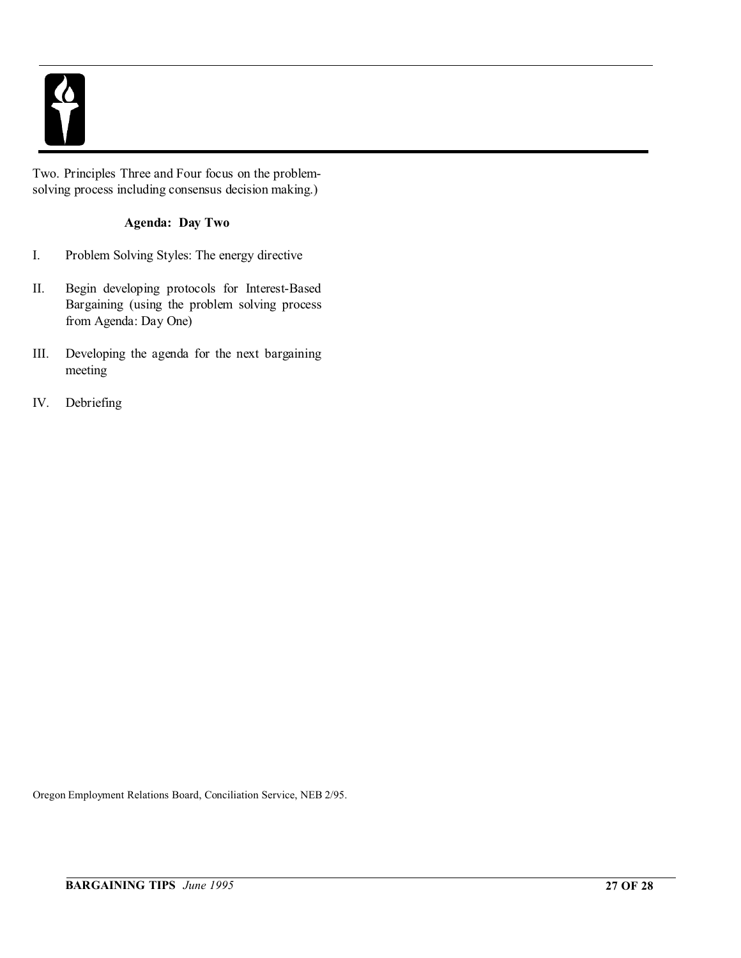

Two. Principles Three and Four focus on the problemsolving process including consensus decision making.)

### **Agenda: Day Two**

- I. Problem Solving Styles: The energy directive
- II. Begin developing protocols for Interest-Based Bargaining (using the problem solving process from Agenda: Day One)
- III. Developing the agenda for the next bargaining meeting
- IV. Debriefing

Oregon Employment Relations Board, Conciliation Service, NEB 2/95.